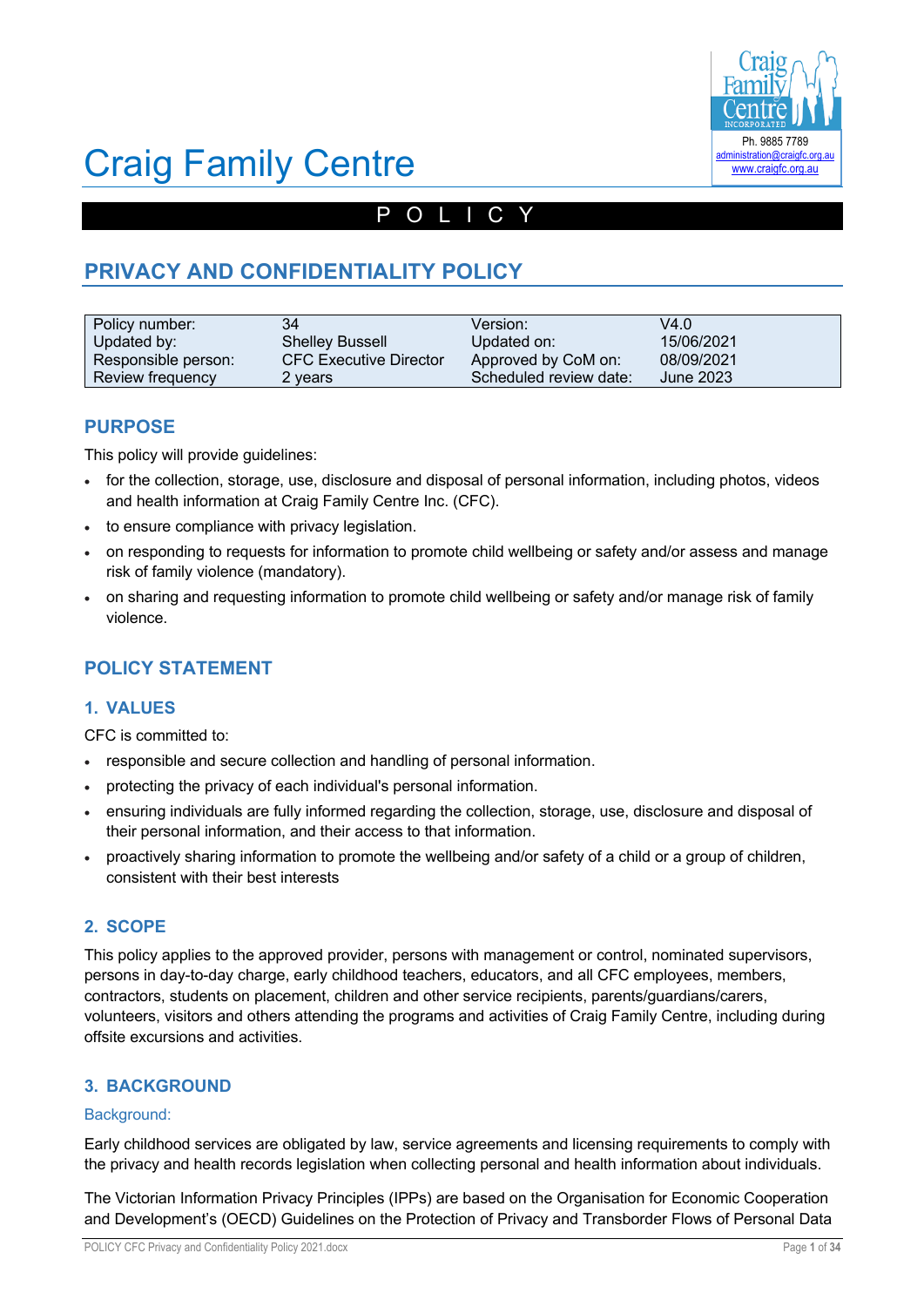

# Craig Family Centre

# POLICY

# **PRIVACY AND CONFIDENTIALITY POLICY**

| Policy number:      | 34                            | Version:               | V4.0       |
|---------------------|-------------------------------|------------------------|------------|
| Updated by:         | <b>Shelley Bussell</b>        | Updated on:            | 15/06/2021 |
| Responsible person: | <b>CFC Executive Director</b> | Approved by CoM on:    | 08/09/2021 |
| Review frequency    | 2 years                       | Scheduled review date: | June 2023  |

# **PURPOSE**

This policy will provide guidelines:

- for the collection, storage, use, disclosure and disposal of personal information, including photos, videos and health information at Craig Family Centre Inc. (CFC).
- to ensure compliance with privacy legislation.
- on responding to requests for information to promote child wellbeing or safety and/or assess and manage risk of family violence (mandatory).
- on sharing and requesting information to promote child wellbeing or safety and/or manage risk of family violence.

# **POLICY STATEMENT**

# **1. VALUES**

CFC is committed to:

- responsible and secure collection and handling of personal information.
- protecting the privacy of each individual's personal information.
- ensuring individuals are fully informed regarding the collection, storage, use, disclosure and disposal of their personal information, and their access to that information.
- proactively sharing information to promote the wellbeing and/or safety of a child or a group of children, consistent with their best interests

# **2. SCOPE**

This policy applies to the approved provider, persons with management or control, nominated supervisors, persons in day-to-day charge, early childhood teachers, educators, and all CFC employees, members, contractors, students on placement, children and other service recipients, parents/guardians/carers, volunteers, visitors and others attending the programs and activities of Craig Family Centre, including during offsite excursions and activities.

# **3. BACKGROUND**

### Background:

Early childhood services are obligated by law, service agreements and licensing requirements to comply with the privacy and health records legislation when collecting personal and health information about individuals.

The Victorian Information Privacy Principles (IPPs) are based on the Organisation for Economic Cooperation and Development's (OECD) Guidelines on the Protection of Privacy and Transborder Flows of Personal Data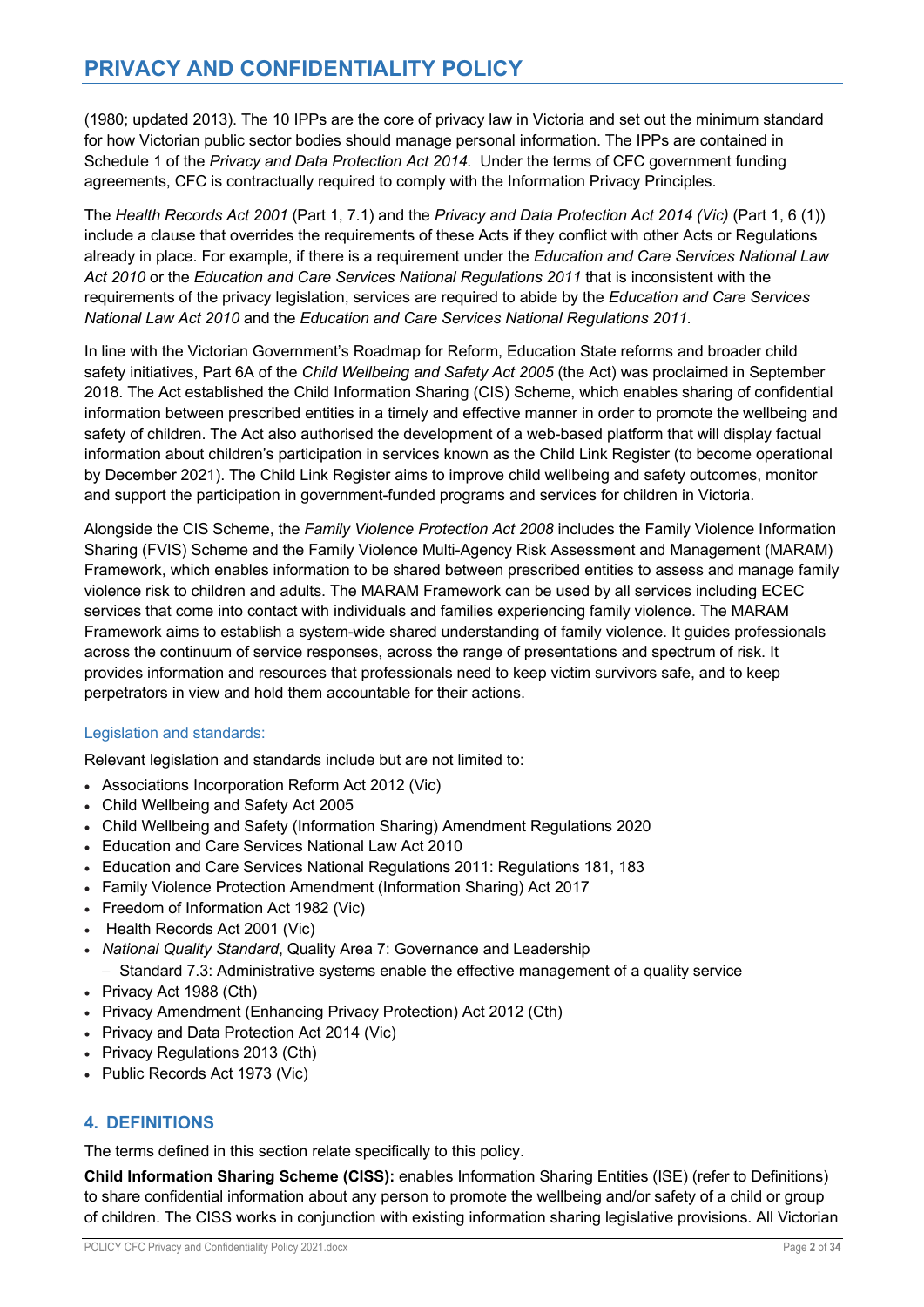(1980; updated 2013). The 10 IPPs are the core of privacy law in Victoria and set out the minimum standard for how Victorian public sector bodies should manage personal information. The IPPs are contained in Schedule 1 of the *Privacy and Data Protection Act 2014.* Under the terms of CFC government funding agreements, CFC is contractually required to comply with the Information Privacy Principles.

The *Health Records Act 2001* (Part 1, 7.1) and the *Privacy and Data Protection Act 2014 (Vic)* (Part 1, 6 (1)) include a clause that overrides the requirements of these Acts if they conflict with other Acts or Regulations already in place. For example, if there is a requirement under the *Education and Care Services National Law Act 2010* or the *Education and Care Services National Regulations 2011* that is inconsistent with the requirements of the privacy legislation, services are required to abide by the *Education and Care Services National Law Act 2010* and the *Education and Care Services National Regulations 2011.*

In line with the Victorian Government's Roadmap for Reform, Education State reforms and broader child safety initiatives, Part 6A of the *Child Wellbeing and Safety Act 2005* (the Act) was proclaimed in September 2018. The Act established the Child Information Sharing (CIS) Scheme, which enables sharing of confidential information between prescribed entities in a timely and effective manner in order to promote the wellbeing and safety of children. The Act also authorised the development of a web-based platform that will display factual information about children's participation in services known as the Child Link Register (to become operational by December 2021). The Child Link Register aims to improve child wellbeing and safety outcomes, monitor and support the participation in government-funded programs and services for children in Victoria.

Alongside the CIS Scheme, the *Family Violence Protection Act 2008* includes the Family Violence Information Sharing (FVIS) Scheme and the Family Violence Multi-Agency Risk Assessment and Management (MARAM) Framework, which enables information to be shared between prescribed entities to assess and manage family violence risk to children and adults. The MARAM Framework can be used by all services including ECEC services that come into contact with individuals and families experiencing family violence. The MARAM Framework aims to establish a system-wide shared understanding of family violence. It guides professionals across the continuum of service responses, across the range of presentations and spectrum of risk. It provides information and resources that professionals need to keep victim survivors safe, and to keep perpetrators in view and hold them accountable for their actions.

# Legislation and standards:

Relevant legislation and standards include but are not limited to:

- Associations Incorporation Reform Act 2012 (Vic)
- Child Wellbeing and Safety Act 2005
- Child Wellbeing and Safety (Information Sharing) Amendment Regulations 2020
- Education and Care Services National Law Act 2010
- Education and Care Services National Regulations 2011: Regulations 181, 183
- Family Violence Protection Amendment (Information Sharing) Act 2017
- Freedom of Information Act 1982 (Vic)
- Health Records Act 2001 (Vic)
- *National Quality Standard*, Quality Area 7: Governance and Leadership
- Standard 7.3: Administrative systems enable the effective management of a quality service
- Privacy Act 1988 (Cth)
- Privacy Amendment (Enhancing Privacy Protection) Act 2012 (Cth)
- Privacy and Data Protection Act 2014 (Vic)
- Privacy Regulations 2013 (Cth)
- Public Records Act 1973 (Vic)

# **4. DEFINITIONS**

The terms defined in this section relate specifically to this policy.

**Child Information Sharing Scheme (CISS):** enables Information Sharing Entities (ISE) (refer to Definitions) to share confidential information about any person to promote the wellbeing and/or safety of a child or group of children. The CISS works in conjunction with existing information sharing legislative provisions. All Victorian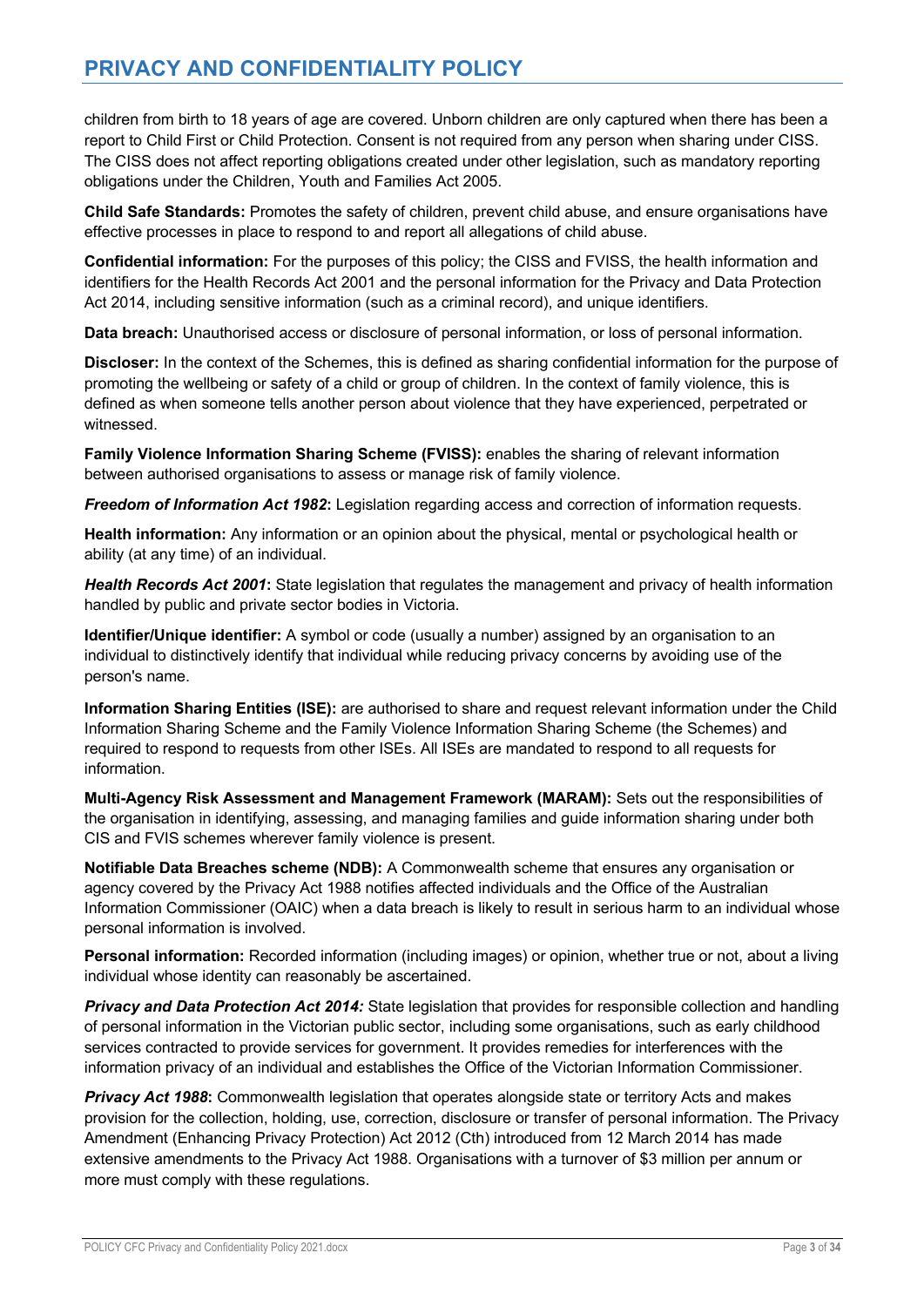children from birth to 18 years of age are covered. Unborn children are only captured when there has been a report to Child First or Child Protection. Consent is not required from any person when sharing under CISS. The CISS does not affect reporting obligations created under other legislation, such as mandatory reporting obligations under the Children, Youth and Families Act 2005.

**Child Safe Standards:** Promotes the safety of children, prevent child abuse, and ensure organisations have effective processes in place to respond to and report all allegations of child abuse.

**Confidential information:** For the purposes of this policy; the CISS and FVISS, the health information and identifiers for the Health Records Act 2001 and the personal information for the Privacy and Data Protection Act 2014, including sensitive information (such as a criminal record), and unique identifiers.

**Data breach:** Unauthorised access or disclosure of personal information, or loss of personal information.

**Discloser:** In the context of the Schemes, this is defined as sharing confidential information for the purpose of promoting the wellbeing or safety of a child or group of children. In the context of family violence, this is defined as when someone tells another person about violence that they have experienced, perpetrated or witnessed.

**Family Violence Information Sharing Scheme (FVISS):** enables the sharing of relevant information between authorised organisations to assess or manage risk of family violence.

*Freedom of Information Act 1982***:** Legislation regarding access and correction of information requests.

**Health information:** Any information or an opinion about the physical, mental or psychological health or ability (at any time) of an individual.

*Health Records Act 2001***:** State legislation that regulates the management and privacy of health information handled by public and private sector bodies in Victoria.

**Identifier/Unique identifier:** A symbol or code (usually a number) assigned by an organisation to an individual to distinctively identify that individual while reducing privacy concerns by avoiding use of the person's name.

**Information Sharing Entities (ISE):** are authorised to share and request relevant information under the Child Information Sharing Scheme and the Family Violence Information Sharing Scheme (the Schemes) and required to respond to requests from other ISEs. All ISEs are mandated to respond to all requests for information.

**Multi-Agency Risk Assessment and Management Framework (MARAM):** Sets out the responsibilities of the organisation in identifying, assessing, and managing families and guide information sharing under both CIS and FVIS schemes wherever family violence is present.

**Notifiable Data Breaches scheme (NDB):** A Commonwealth scheme that ensures any organisation or agency covered by the Privacy Act 1988 notifies affected individuals and the Office of the Australian Information Commissioner (OAIC) when a data breach is likely to result in serious harm to an individual whose personal information is involved.

**Personal information:** Recorded information (including images) or opinion, whether true or not, about a living individual whose identity can reasonably be ascertained.

*Privacy and Data Protection Act 2014:* State legislation that provides for responsible collection and handling of personal information in the Victorian public sector, including some organisations, such as early childhood services contracted to provide services for government. It provides remedies for interferences with the information privacy of an individual and establishes the Office of the Victorian Information Commissioner.

**Privacy Act 1988:** Commonwealth legislation that operates alongside state or territory Acts and makes provision for the collection, holding, use, correction, disclosure or transfer of personal information. The Privacy Amendment (Enhancing Privacy Protection) Act 2012 (Cth) introduced from 12 March 2014 has made extensive amendments to the Privacy Act 1988. Organisations with a turnover of \$3 million per annum or more must comply with these regulations.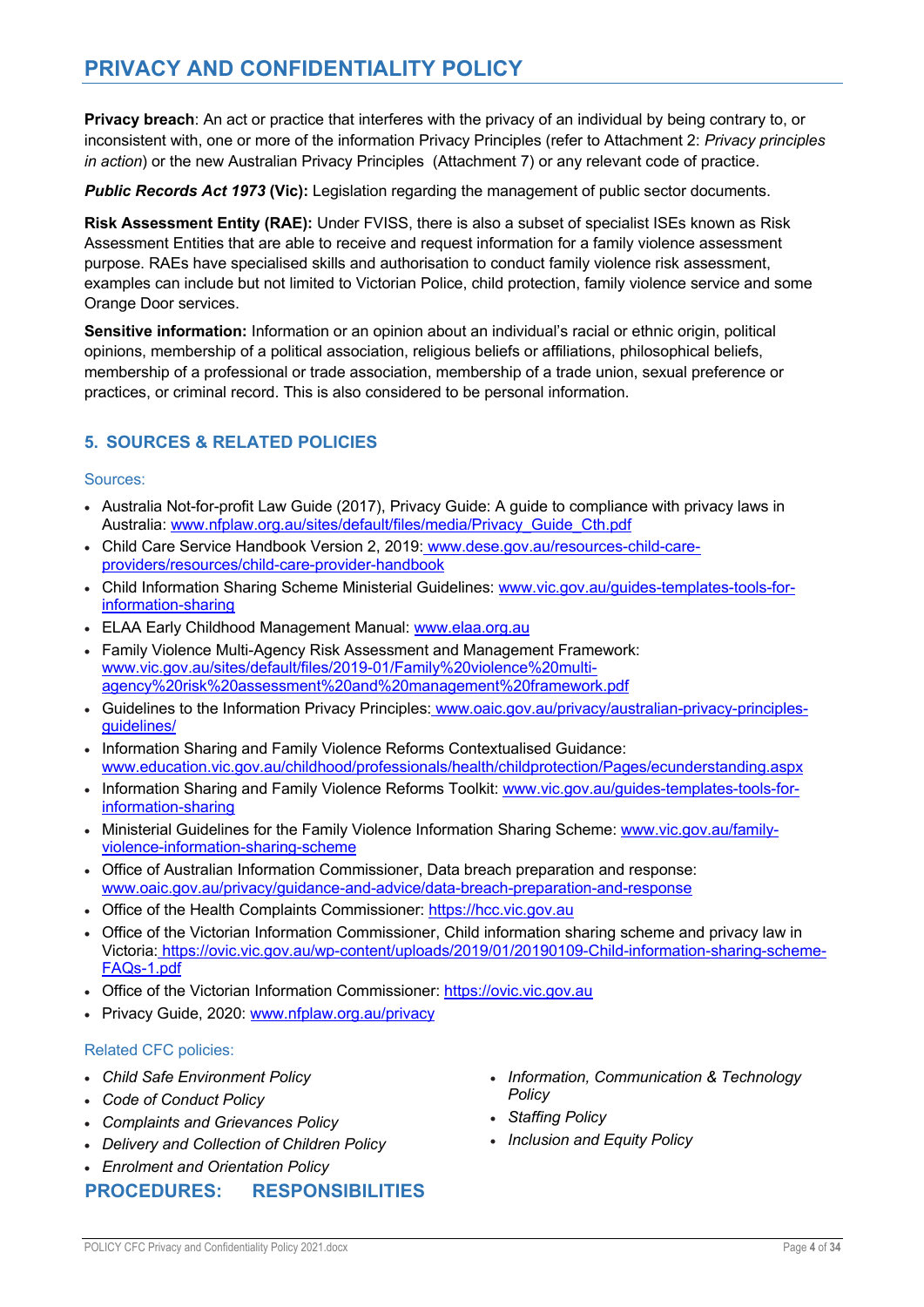**Privacy breach**: An act or practice that interferes with the privacy of an individual by being contrary to, or inconsistent with, one or more of the information Privacy Principles (refer to Attachment 2: *Privacy principles in action*) or the new Australian Privacy Principles (Attachment 7) or any relevant code of practice.

*Public Records Act 1973* **(Vic):** Legislation regarding the management of public sector documents.

**Risk Assessment Entity (RAE):** Under FVISS, there is also a subset of specialist ISEs known as Risk Assessment Entities that are able to receive and request information for a family violence assessment purpose. RAEs have specialised skills and authorisation to conduct family violence risk assessment, examples can include but not limited to Victorian Police, child protection, family violence service and some Orange Door services.

**Sensitive information:** Information or an opinion about an individual's racial or ethnic origin, political opinions, membership of a political association, religious beliefs or affiliations, philosophical beliefs, membership of a professional or trade association, membership of a trade union, sexual preference or practices, or criminal record. This is also considered to be personal information.

# **5. SOURCES & RELATED POLICIES**

### Sources:

- Australia Not-for-profit Law Guide (2017), Privacy Guide: A guide to compliance with privacy laws in Australia: www.nfplaw.org.au/sites/default/files/media/Privacy\_Guide\_Cth.pdf
- Child Care Service Handbook Version 2, 2019: www.dese.gov.au/resources-child-careproviders/resources/child-care-provider-handbook
- Child Information Sharing Scheme Ministerial Guidelines: www.vic.gov.au/guides-templates-tools-forinformation-sharing
- ELAA Early Childhood Management Manual: www.elaa.org.au
- Family Violence Multi-Agency Risk Assessment and Management Framework: www.vic.gov.au/sites/default/files/2019-01/Family%20violence%20multiagency%20risk%20assessment%20and%20management%20framework.pdf
- Guidelines to the Information Privacy Principles: www.oaic.gov.au/privacy/australian-privacy-principlesguidelines/
- Information Sharing and Family Violence Reforms Contextualised Guidance: www.education.vic.gov.au/childhood/professionals/health/childprotection/Pages/ecunderstanding.aspx
- Information Sharing and Family Violence Reforms Toolkit: www.vic.gov.au/guides-templates-tools-forinformation-sharing
- Ministerial Guidelines for the Family Violence Information Sharing Scheme: www.vic.gov.au/familyviolence-information-sharing-scheme
- Office of Australian Information Commissioner, Data breach preparation and response: www.oaic.gov.au/privacy/guidance-and-advice/data-breach-preparation-and-response
- Office of the Health Complaints Commissioner: https://hcc.vic.gov.au
- Office of the Victorian Information Commissioner, Child information sharing scheme and privacy law in Victoria: https://ovic.vic.gov.au/wp-content/uploads/2019/01/20190109-Child-information-sharing-scheme-FAQs-1.pdf
- Office of the Victorian Information Commissioner: https://ovic.vic.gov.au
- Privacy Guide, 2020: www.nfplaw.org.au/privacy

### Related CFC policies:

- *Child Safe Environment Policy*
- *Code of Conduct Policy*
- *Complaints and Grievances Policy*
- *Delivery and Collection of Children Policy*
- *Enrolment and Orientation Policy*

# **PROCEDURES: RESPONSIBILITIES**

- *Information, Communication & Technology Policy*
- *Staffing Policy*
- *Inclusion and Equity Policy*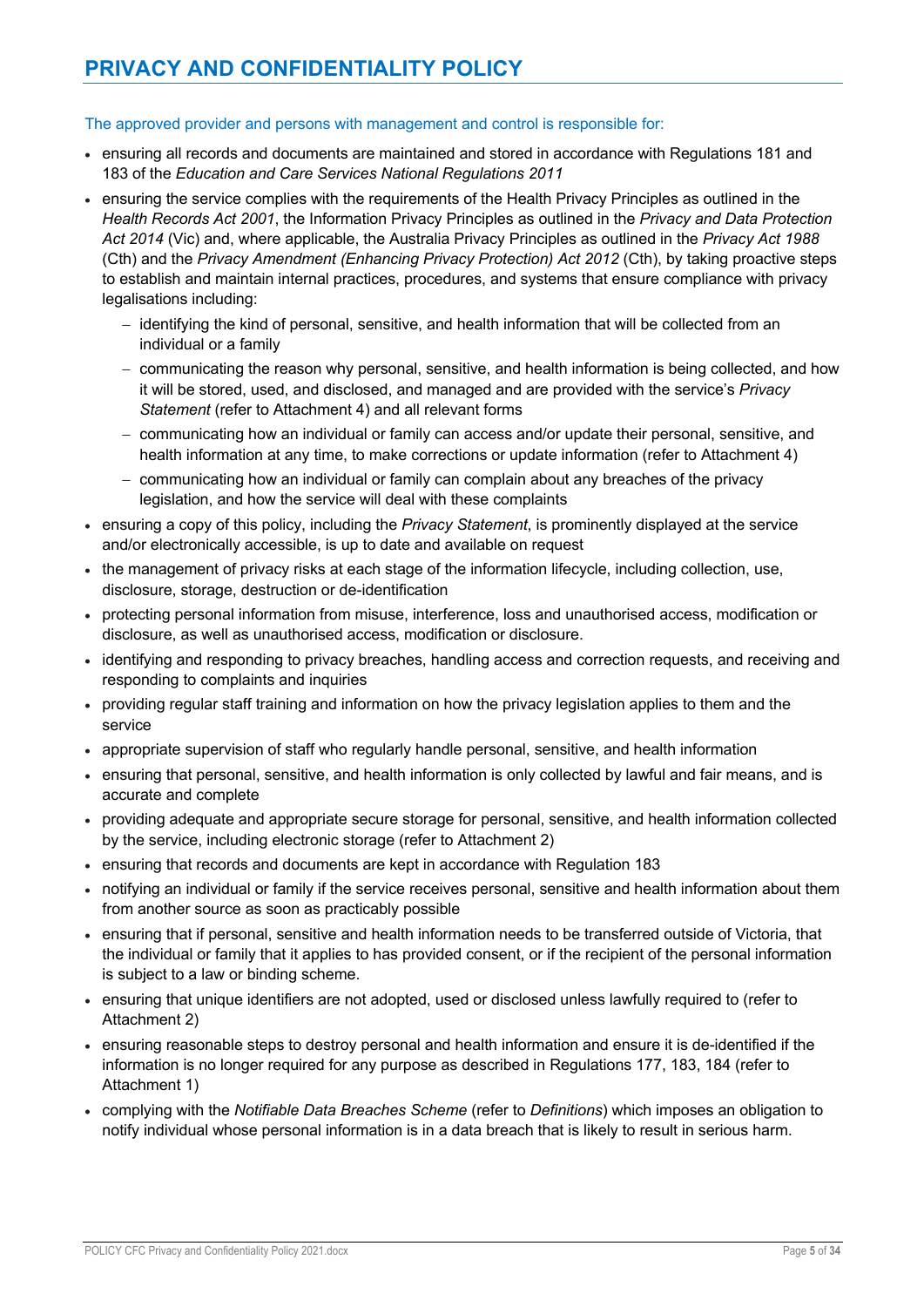## The approved provider and persons with management and control is responsible for:

- ensuring all records and documents are maintained and stored in accordance with Regulations 181 and 183 of the *Education and Care Services National Regulations 2011*
- ensuring the service complies with the requirements of the Health Privacy Principles as outlined in the *Health Records Act 2001*, the Information Privacy Principles as outlined in the *Privacy and Data Protection Act 2014* (Vic) and, where applicable, the Australia Privacy Principles as outlined in the *Privacy Act 1988* (Cth) and the *Privacy Amendment (Enhancing Privacy Protection) Act 2012* (Cth), by taking proactive steps to establish and maintain internal practices, procedures, and systems that ensure compliance with privacy legalisations including:
	- identifying the kind of personal, sensitive, and health information that will be collected from an individual or a family
	- communicating the reason why personal, sensitive, and health information is being collected, and how it will be stored, used, and disclosed, and managed and are provided with the service's *Privacy Statement* (refer to Attachment 4) and all relevant forms
	- communicating how an individual or family can access and/or update their personal, sensitive, and health information at any time, to make corrections or update information (refer to Attachment 4)
	- communicating how an individual or family can complain about any breaches of the privacy legislation, and how the service will deal with these complaints
- ensuring a copy of this policy, including the *Privacy Statement*, is prominently displayed at the service and/or electronically accessible, is up to date and available on request
- the management of privacy risks at each stage of the information lifecycle, including collection, use, disclosure, storage, destruction or de-identification
- protecting personal information from misuse, interference, loss and unauthorised access, modification or disclosure, as well as unauthorised access, modification or disclosure.
- identifying and responding to privacy breaches, handling access and correction requests, and receiving and responding to complaints and inquiries
- providing regular staff training and information on how the privacy legislation applies to them and the service
- appropriate supervision of staff who regularly handle personal, sensitive, and health information
- ensuring that personal, sensitive, and health information is only collected by lawful and fair means, and is accurate and complete
- providing adequate and appropriate secure storage for personal, sensitive, and health information collected by the service, including electronic storage (refer to Attachment 2)
- ensuring that records and documents are kept in accordance with Regulation 183
- notifying an individual or family if the service receives personal, sensitive and health information about them from another source as soon as practicably possible
- ensuring that if personal, sensitive and health information needs to be transferred outside of Victoria, that the individual or family that it applies to has provided consent, or if the recipient of the personal information is subject to a law or binding scheme.
- ensuring that unique identifiers are not adopted, used or disclosed unless lawfully required to (refer to Attachment 2)
- ensuring reasonable steps to destroy personal and health information and ensure it is de-identified if the information is no longer required for any purpose as described in Regulations 177, 183, 184 (refer to Attachment 1)
- complying with the *Notifiable Data Breaches Scheme* (refer to *Definitions*) which imposes an obligation to notify individual whose personal information is in a data breach that is likely to result in serious harm.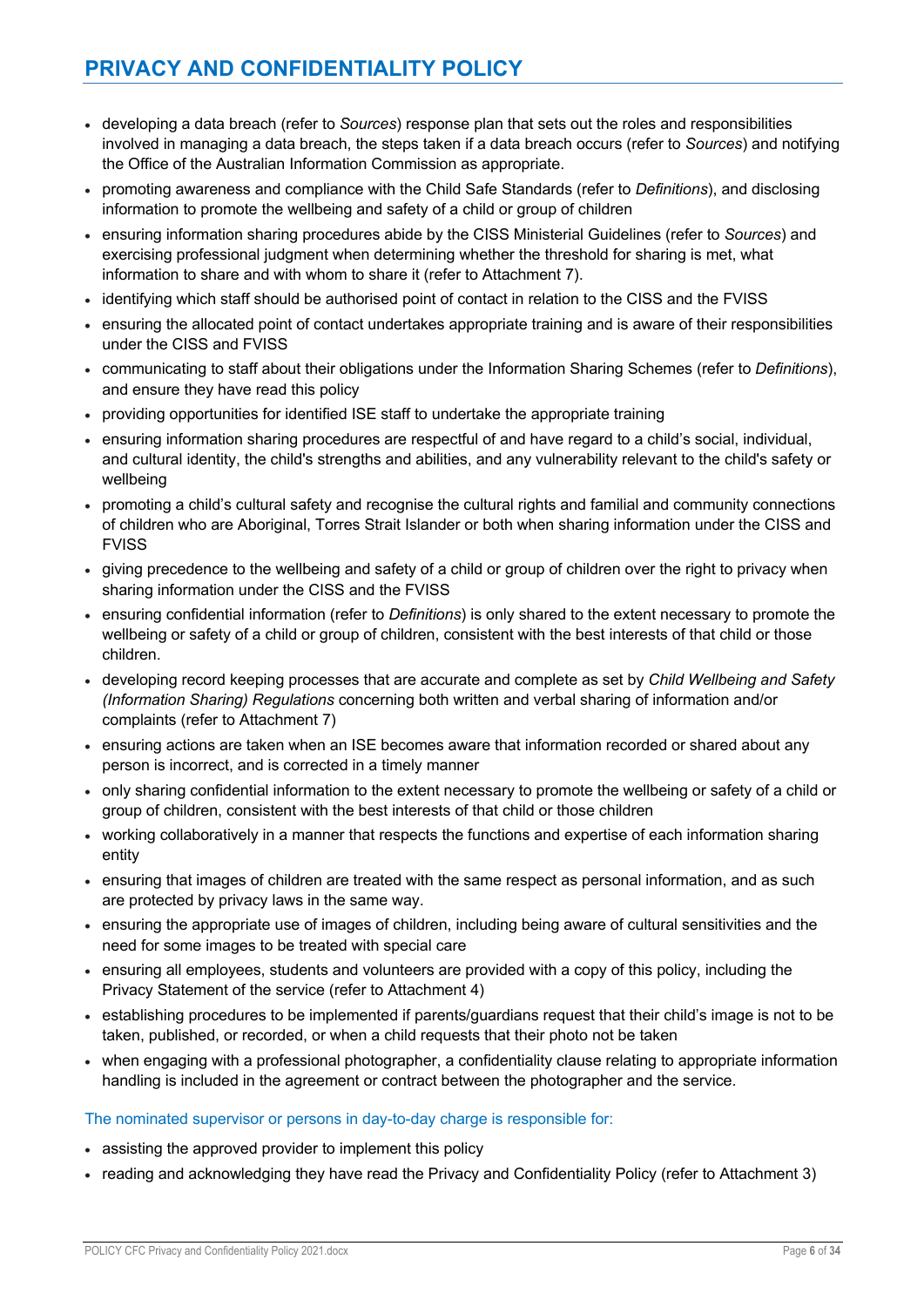- developing a data breach (refer to *Sources*) response plan that sets out the roles and responsibilities involved in managing a data breach, the steps taken if a data breach occurs (refer to *Sources*) and notifying the Office of the Australian Information Commission as appropriate.
- promoting awareness and compliance with the Child Safe Standards (refer to *Definitions*), and disclosing information to promote the wellbeing and safety of a child or group of children
- ensuring information sharing procedures abide by the CISS Ministerial Guidelines (refer to *Sources*) and exercising professional judgment when determining whether the threshold for sharing is met, what information to share and with whom to share it (refer to Attachment 7).
- identifying which staff should be authorised point of contact in relation to the CISS and the FVISS
- ensuring the allocated point of contact undertakes appropriate training and is aware of their responsibilities under the CISS and FVISS
- communicating to staff about their obligations under the Information Sharing Schemes (refer to *Definitions*), and ensure they have read this policy
- providing opportunities for identified ISE staff to undertake the appropriate training
- ensuring information sharing procedures are respectful of and have regard to a child's social, individual, and cultural identity, the child's strengths and abilities, and any vulnerability relevant to the child's safety or wellbeing
- promoting a child's cultural safety and recognise the cultural rights and familial and community connections of children who are Aboriginal, Torres Strait Islander or both when sharing information under the CISS and FVISS
- giving precedence to the wellbeing and safety of a child or group of children over the right to privacy when sharing information under the CISS and the FVISS
- ensuring confidential information (refer to *Definitions*) is only shared to the extent necessary to promote the wellbeing or safety of a child or group of children, consistent with the best interests of that child or those children.
- developing record keeping processes that are accurate and complete as set by *Child Wellbeing and Safety (Information Sharing) Regulations* concerning both written and verbal sharing of information and/or complaints (refer to Attachment 7)
- ensuring actions are taken when an ISE becomes aware that information recorded or shared about any person is incorrect, and is corrected in a timely manner
- only sharing confidential information to the extent necessary to promote the wellbeing or safety of a child or group of children, consistent with the best interests of that child or those children
- working collaboratively in a manner that respects the functions and expertise of each information sharing entity
- ensuring that images of children are treated with the same respect as personal information, and as such are protected by privacy laws in the same way.
- ensuring the appropriate use of images of children, including being aware of cultural sensitivities and the need for some images to be treated with special care
- ensuring all employees, students and volunteers are provided with a copy of this policy, including the Privacy Statement of the service (refer to Attachment 4)
- establishing procedures to be implemented if parents/guardians request that their child's image is not to be taken, published, or recorded, or when a child requests that their photo not be taken
- when engaging with a professional photographer, a confidentiality clause relating to appropriate information handling is included in the agreement or contract between the photographer and the service.

### The nominated supervisor or persons in day-to-day charge is responsible for:

- assisting the approved provider to implement this policy
- reading and acknowledging they have read the Privacy and Confidentiality Policy (refer to Attachment 3)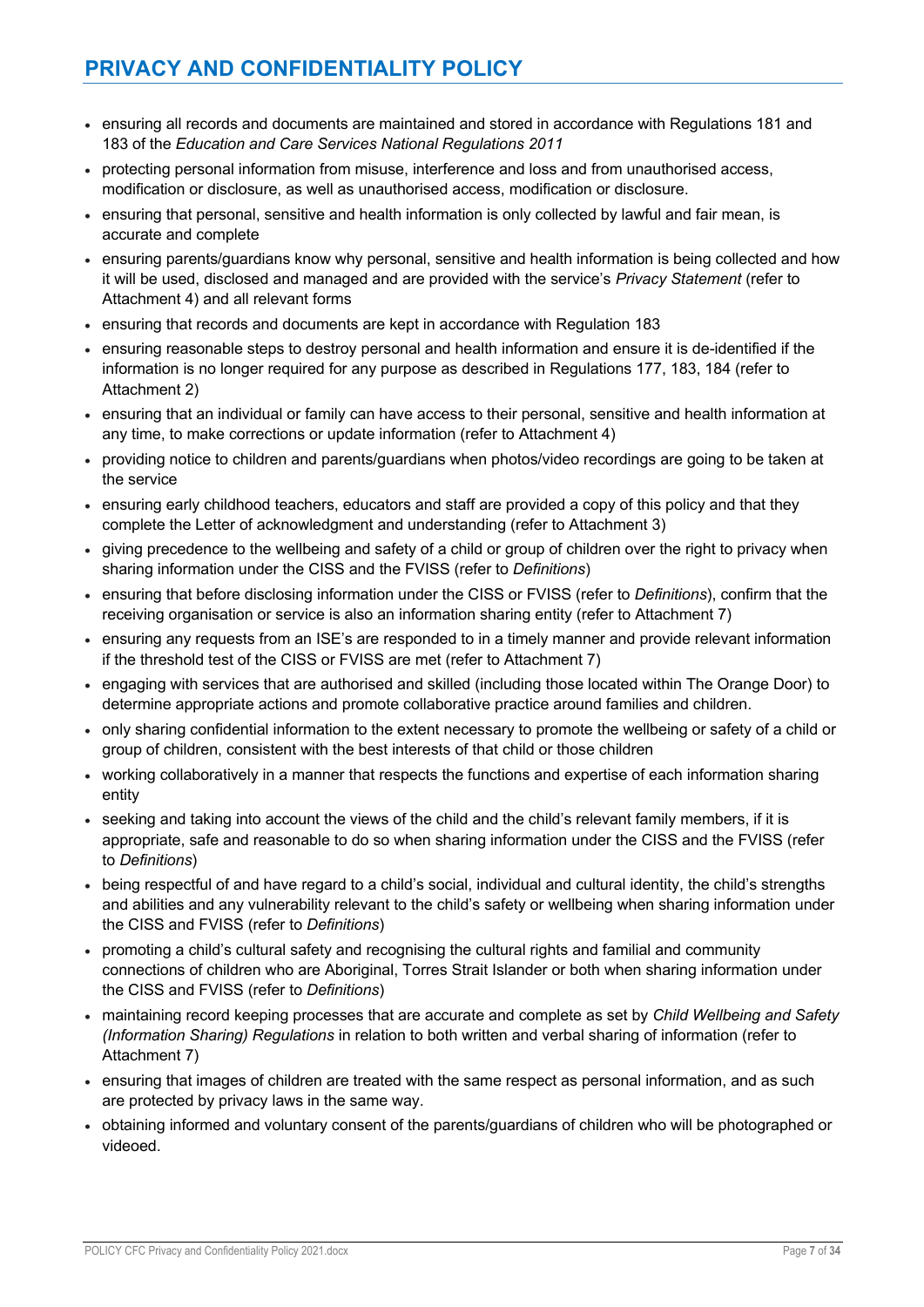- ensuring all records and documents are maintained and stored in accordance with Regulations 181 and 183 of the *Education and Care Services National Regulations 2011*
- protecting personal information from misuse, interference and loss and from unauthorised access, modification or disclosure, as well as unauthorised access, modification or disclosure.
- ensuring that personal, sensitive and health information is only collected by lawful and fair mean, is accurate and complete
- ensuring parents/guardians know why personal, sensitive and health information is being collected and how it will be used, disclosed and managed and are provided with the service's *Privacy Statement* (refer to Attachment 4) and all relevant forms
- ensuring that records and documents are kept in accordance with Regulation 183
- ensuring reasonable steps to destroy personal and health information and ensure it is de-identified if the information is no longer required for any purpose as described in Regulations 177, 183, 184 (refer to Attachment 2)
- ensuring that an individual or family can have access to their personal, sensitive and health information at any time, to make corrections or update information (refer to Attachment 4)
- providing notice to children and parents/guardians when photos/video recordings are going to be taken at the service
- ensuring early childhood teachers, educators and staff are provided a copy of this policy and that they complete the Letter of acknowledgment and understanding (refer to Attachment 3)
- giving precedence to the wellbeing and safety of a child or group of children over the right to privacy when sharing information under the CISS and the FVISS (refer to *Definitions*)
- ensuring that before disclosing information under the CISS or FVISS (refer to *Definitions*), confirm that the receiving organisation or service is also an information sharing entity (refer to Attachment 7)
- ensuring any requests from an ISE's are responded to in a timely manner and provide relevant information if the threshold test of the CISS or FVISS are met (refer to Attachment 7)
- engaging with services that are authorised and skilled (including those located within The Orange Door) to determine appropriate actions and promote collaborative practice around families and children.
- only sharing confidential information to the extent necessary to promote the wellbeing or safety of a child or group of children, consistent with the best interests of that child or those children
- working collaboratively in a manner that respects the functions and expertise of each information sharing entity
- seeking and taking into account the views of the child and the child's relevant family members, if it is appropriate, safe and reasonable to do so when sharing information under the CISS and the FVISS (refer to *Definitions*)
- being respectful of and have regard to a child's social, individual and cultural identity, the child's strengths and abilities and any vulnerability relevant to the child's safety or wellbeing when sharing information under the CISS and FVISS (refer to *Definitions*)
- promoting a child's cultural safety and recognising the cultural rights and familial and community connections of children who are Aboriginal, Torres Strait Islander or both when sharing information under the CISS and FVISS (refer to *Definitions*)
- maintaining record keeping processes that are accurate and complete as set by *Child Wellbeing and Safety (Information Sharing) Regulations* in relation to both written and verbal sharing of information (refer to Attachment 7)
- ensuring that images of children are treated with the same respect as personal information, and as such are protected by privacy laws in the same way.
- obtaining informed and voluntary consent of the parents/guardians of children who will be photographed or videoed.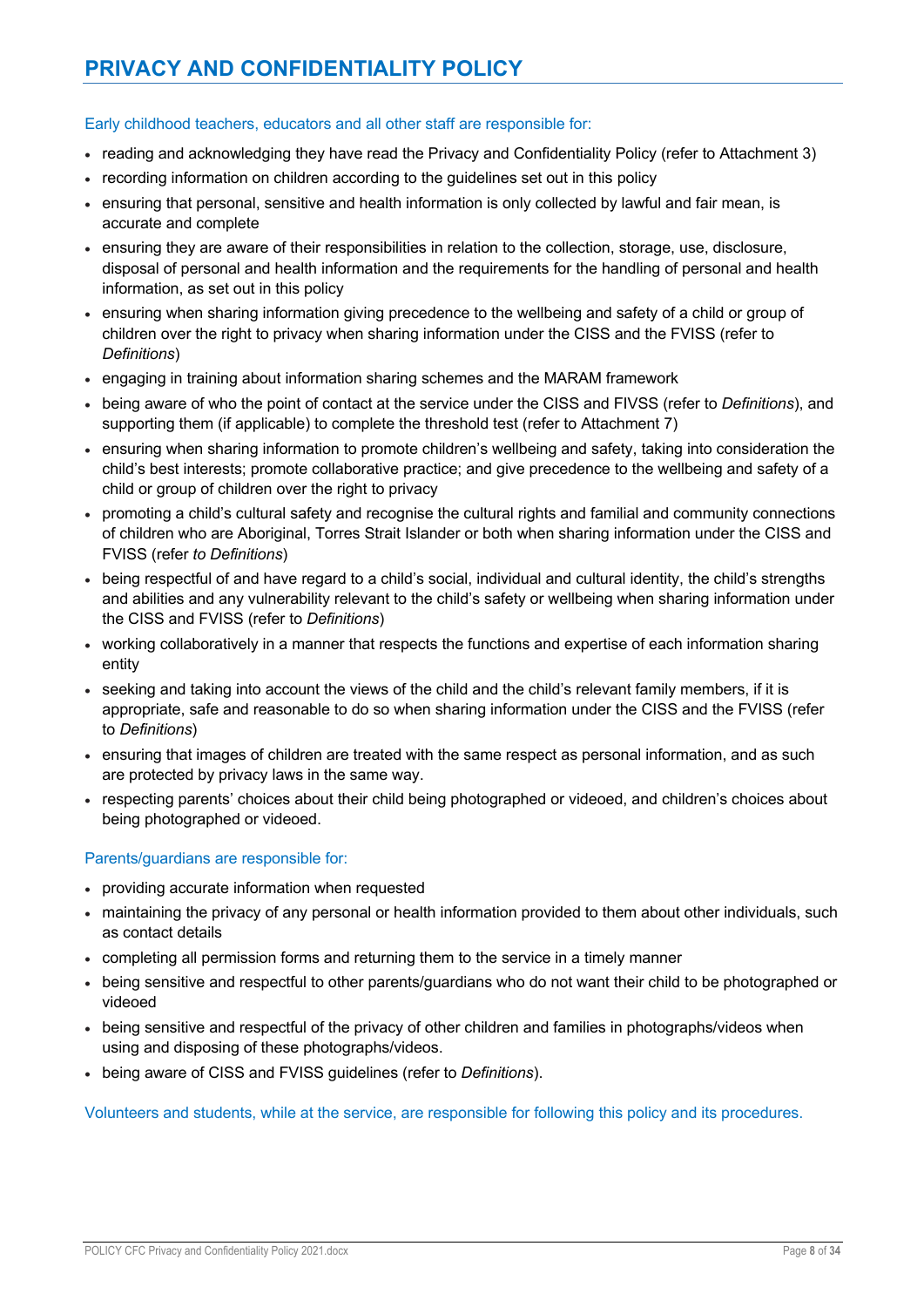## Early childhood teachers, educators and all other staff are responsible for:

- reading and acknowledging they have read the Privacy and Confidentiality Policy (refer to Attachment 3)
- recording information on children according to the guidelines set out in this policy
- ensuring that personal, sensitive and health information is only collected by lawful and fair mean, is accurate and complete
- ensuring they are aware of their responsibilities in relation to the collection, storage, use, disclosure, disposal of personal and health information and the requirements for the handling of personal and health information, as set out in this policy
- ensuring when sharing information giving precedence to the wellbeing and safety of a child or group of children over the right to privacy when sharing information under the CISS and the FVISS (refer to *Definitions*)
- engaging in training about information sharing schemes and the MARAM framework
- being aware of who the point of contact at the service under the CISS and FIVSS (refer to *Definitions*), and supporting them (if applicable) to complete the threshold test (refer to Attachment 7)
- ensuring when sharing information to promote children's wellbeing and safety, taking into consideration the child's best interests; promote collaborative practice; and give precedence to the wellbeing and safety of a child or group of children over the right to privacy
- promoting a child's cultural safety and recognise the cultural rights and familial and community connections of children who are Aboriginal, Torres Strait Islander or both when sharing information under the CISS and FVISS (refer *to Definitions*)
- being respectful of and have regard to a child's social, individual and cultural identity, the child's strengths and abilities and any vulnerability relevant to the child's safety or wellbeing when sharing information under the CISS and FVISS (refer to *Definitions*)
- working collaboratively in a manner that respects the functions and expertise of each information sharing entity
- seeking and taking into account the views of the child and the child's relevant family members, if it is appropriate, safe and reasonable to do so when sharing information under the CISS and the FVISS (refer to *Definitions*)
- ensuring that images of children are treated with the same respect as personal information, and as such are protected by privacy laws in the same way.
- respecting parents' choices about their child being photographed or videoed, and children's choices about being photographed or videoed.

# Parents/guardians are responsible for:

- providing accurate information when requested
- maintaining the privacy of any personal or health information provided to them about other individuals, such as contact details
- completing all permission forms and returning them to the service in a timely manner
- being sensitive and respectful to other parents/guardians who do not want their child to be photographed or videoed
- being sensitive and respectful of the privacy of other children and families in photographs/videos when using and disposing of these photographs/videos.
- being aware of CISS and FVISS guidelines (refer to *Definitions*).

Volunteers and students, while at the service, are responsible for following this policy and its procedures.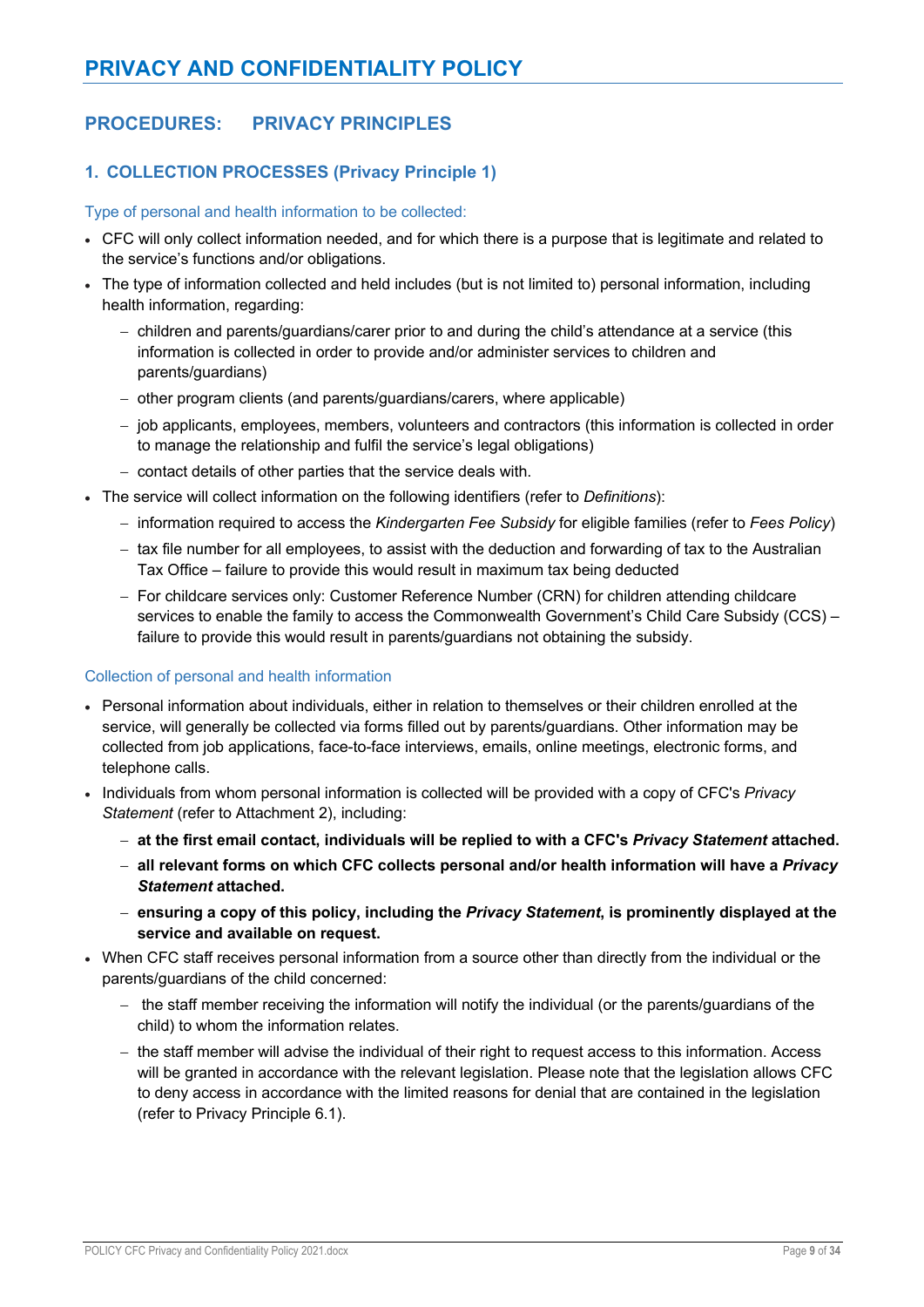# **PROCEDURES: PRIVACY PRINCIPLES**

# **1. COLLECTION PROCESSES (Privacy Principle 1)**

#### Type of personal and health information to be collected:

- CFC will only collect information needed, and for which there is a purpose that is legitimate and related to the service's functions and/or obligations.
- The type of information collected and held includes (but is not limited to) personal information, including health information, regarding:
	- children and parents/guardians/carer prior to and during the child's attendance at a service (this information is collected in order to provide and/or administer services to children and parents/guardians)
	- other program clients (and parents/guardians/carers, where applicable)
	- job applicants, employees, members, volunteers and contractors (this information is collected in order to manage the relationship and fulfil the service's legal obligations)
	- contact details of other parties that the service deals with.
- The service will collect information on the following identifiers (refer to *Definitions*):
	- information required to access the *Kindergarten Fee Subsidy* for eligible families (refer to *Fees Policy*)
	- tax file number for all employees, to assist with the deduction and forwarding of tax to the Australian Tax Office – failure to provide this would result in maximum tax being deducted
	- For childcare services only: Customer Reference Number (CRN) for children attending childcare services to enable the family to access the Commonwealth Government's Child Care Subsidy (CCS) – failure to provide this would result in parents/guardians not obtaining the subsidy.

# Collection of personal and health information

- Personal information about individuals, either in relation to themselves or their children enrolled at the service, will generally be collected via forms filled out by parents/guardians. Other information may be collected from job applications, face-to-face interviews, emails, online meetings, electronic forms, and telephone calls.
- Individuals from whom personal information is collected will be provided with a copy of CFC's *Privacy Statement* (refer to Attachment 2), including:
	- **at the first email contact, individuals will be replied to with a CFC's** *Privacy Statement* **attached.**
	- **all relevant forms on which CFC collects personal and/or health information will have a** *Privacy Statement* **attached.**
	- **ensuring a copy of this policy, including the** *Privacy Statement***, is prominently displayed at the service and available on request.**
- When CFC staff receives personal information from a source other than directly from the individual or the parents/guardians of the child concerned:
	- the staff member receiving the information will notify the individual (or the parents/guardians of the child) to whom the information relates.
	- the staff member will advise the individual of their right to request access to this information. Access will be granted in accordance with the relevant legislation. Please note that the legislation allows CFC to deny access in accordance with the limited reasons for denial that are contained in the legislation (refer to Privacy Principle 6.1).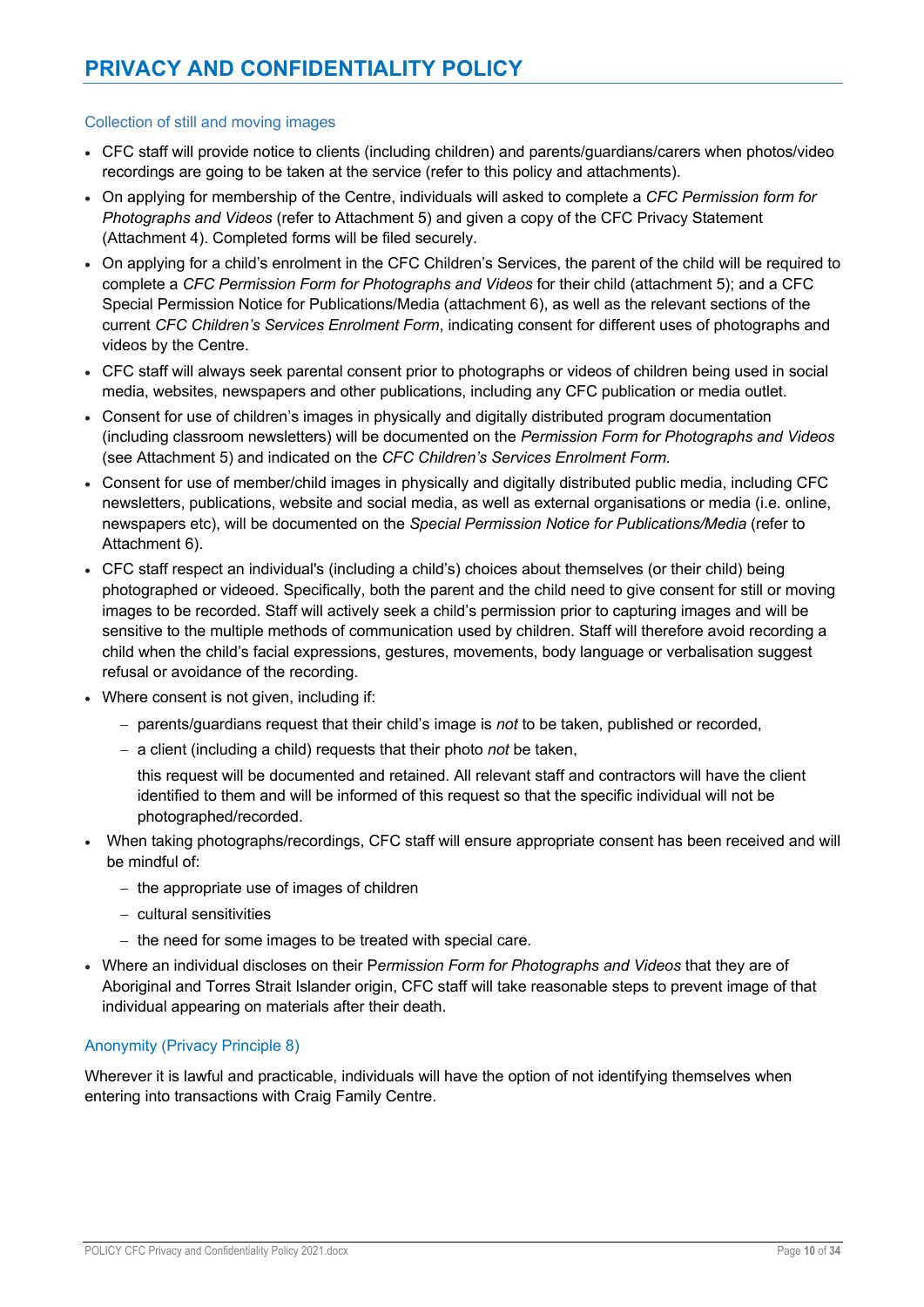### Collection of still and moving images

- CFC staff will provide notice to clients (including children) and parents/guardians/carers when photos/video recordings are going to be taken at the service (refer to this policy and attachments).
- On applying for membership of the Centre, individuals will asked to complete a *CFC Permission form for Photographs and Videos* (refer to Attachment 5) and given a copy of the CFC Privacy Statement (Attachment 4). Completed forms will be filed securely.
- On applying for a child's enrolment in the CFC Children's Services, the parent of the child will be required to complete a *CFC Permission Form for Photographs and Videos* for their child (attachment 5); and a CFC Special Permission Notice for Publications/Media (attachment 6), as well as the relevant sections of the current *CFC Children's Services Enrolment Form*, indicating consent for different uses of photographs and videos by the Centre.
- CFC staff will always seek parental consent prior to photographs or videos of children being used in social media, websites, newspapers and other publications, including any CFC publication or media outlet.
- Consent for use of children's images in physically and digitally distributed program documentation (including classroom newsletters) will be documented on the *Permission Form for Photographs and Videos*  (see Attachment 5) and indicated on the *CFC Children's Services Enrolment Form.*
- Consent for use of member/child images in physically and digitally distributed public media, including CFC newsletters, publications, website and social media, as well as external organisations or media (i.e. online, newspapers etc), will be documented on the *Special Permission Notice for Publications/Media* (refer to Attachment 6).
- CFC staff respect an individual's (including a child's) choices about themselves (or their child) being photographed or videoed. Specifically, both the parent and the child need to give consent for still or moving images to be recorded. Staff will actively seek a child's permission prior to capturing images and will be sensitive to the multiple methods of communication used by children. Staff will therefore avoid recording a child when the child's facial expressions, gestures, movements, body language or verbalisation suggest refusal or avoidance of the recording.
- Where consent is not given, including if:
	- parents/guardians request that their child's image is *not* to be taken, published or recorded,
	- a client (including a child) requests that their photo *not* be taken,

this request will be documented and retained. All relevant staff and contractors will have the client identified to them and will be informed of this request so that the specific individual will not be photographed/recorded.

- When taking photographs/recordings, CFC staff will ensure appropriate consent has been received and will be mindful of:
	- the appropriate use of images of children
	- cultural sensitivities
	- the need for some images to be treated with special care.
- Where an individual discloses on their P*ermission Form for Photographs and Videos* that they are of Aboriginal and Torres Strait Islander origin, CFC staff will take reasonable steps to prevent image of that individual appearing on materials after their death.

# Anonymity (Privacy Principle 8)

Wherever it is lawful and practicable, individuals will have the option of not identifying themselves when entering into transactions with Craig Family Centre.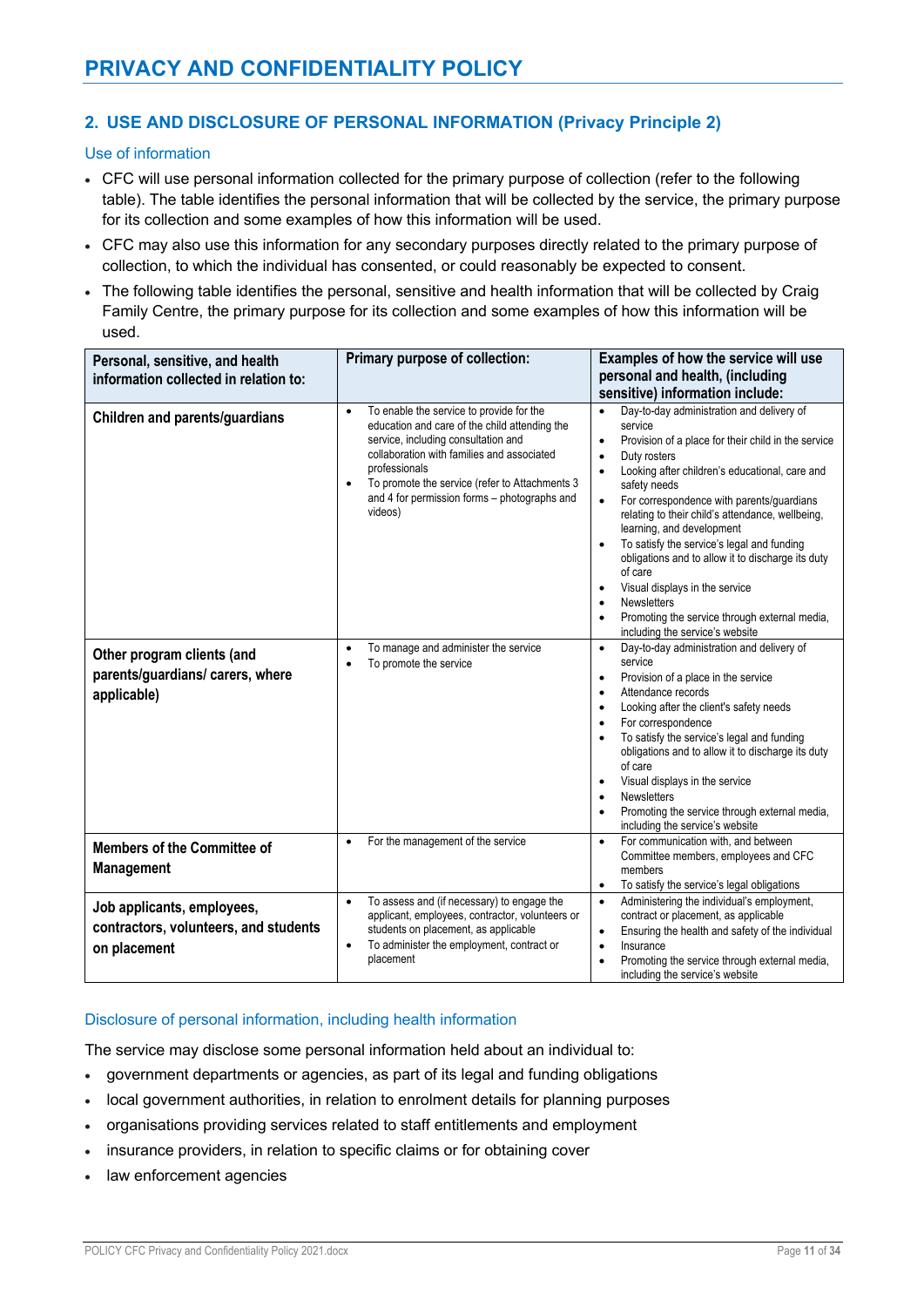# **2. USE AND DISCLOSURE OF PERSONAL INFORMATION (Privacy Principle 2)**

Use of information

- CFC will use personal information collected for the primary purpose of collection (refer to the following table). The table identifies the personal information that will be collected by the service, the primary purpose for its collection and some examples of how this information will be used.
- CFC may also use this information for any secondary purposes directly related to the primary purpose of collection, to which the individual has consented, or could reasonably be expected to consent.
- The following table identifies the personal, sensitive and health information that will be collected by Craig Family Centre, the primary purpose for its collection and some examples of how this information will be used.

| Personal, sensitive, and health<br>information collected in relation to:            | Primary purpose of collection:                                                                                                                                                                                                                                                                                                         | Examples of how the service will use<br>personal and health, (including<br>sensitive) information include:                                                                                                                                                                                                                                                                                                                                                                                                                                                                                                                                             |
|-------------------------------------------------------------------------------------|----------------------------------------------------------------------------------------------------------------------------------------------------------------------------------------------------------------------------------------------------------------------------------------------------------------------------------------|--------------------------------------------------------------------------------------------------------------------------------------------------------------------------------------------------------------------------------------------------------------------------------------------------------------------------------------------------------------------------------------------------------------------------------------------------------------------------------------------------------------------------------------------------------------------------------------------------------------------------------------------------------|
| <b>Children and parents/guardians</b>                                               | To enable the service to provide for the<br>$\bullet$<br>education and care of the child attending the<br>service, including consultation and<br>collaboration with families and associated<br>professionals<br>To promote the service (refer to Attachments 3<br>$\bullet$<br>and 4 for permission forms - photographs and<br>videos) | Day-to-day administration and delivery of<br>$\bullet$<br>service<br>Provision of a place for their child in the service<br>$\bullet$<br>Duty rosters<br>Looking after children's educational, care and<br>safety needs<br>For correspondence with parents/guardians<br>relating to their child's attendance, wellbeing,<br>learning, and development<br>To satisfy the service's legal and funding<br>$\bullet$<br>obligations and to allow it to discharge its duty<br>of care<br>Visual displays in the service<br>$\bullet$<br><b>Newsletters</b><br>$\bullet$<br>Promoting the service through external media,<br>including the service's website |
| Other program clients (and<br>parents/guardians/ carers, where<br>applicable)       | To manage and administer the service<br>$\bullet$<br>To promote the service<br>$\bullet$                                                                                                                                                                                                                                               | Day-to-day administration and delivery of<br>$\bullet$<br>service<br>Provision of a place in the service<br>$\bullet$<br>Attendance records<br>Looking after the client's safety needs<br>$\bullet$<br>For correspondence<br>$\bullet$<br>To satisfy the service's legal and funding<br>obligations and to allow it to discharge its duty<br>of care<br>Visual displays in the service<br>$\bullet$<br><b>Newsletters</b><br>Promoting the service through external media,<br>including the service's website                                                                                                                                          |
| <b>Members of the Committee of</b><br><b>Management</b>                             | For the management of the service<br>$\bullet$                                                                                                                                                                                                                                                                                         | For communication with, and between<br>$\bullet$<br>Committee members, employees and CFC<br>members<br>To satisfy the service's legal obligations<br>$\bullet$                                                                                                                                                                                                                                                                                                                                                                                                                                                                                         |
| Job applicants, employees,<br>contractors, volunteers, and students<br>on placement | To assess and (if necessary) to engage the<br>$\bullet$<br>applicant, employees, contractor, volunteers or<br>students on placement, as applicable<br>To administer the employment, contract or<br>$\bullet$<br>placement                                                                                                              | Administering the individual's employment,<br>$\bullet$<br>contract or placement, as applicable<br>Ensuring the health and safety of the individual<br>Insurance<br>$\bullet$<br>Promoting the service through external media,<br>including the service's website                                                                                                                                                                                                                                                                                                                                                                                      |

### Disclosure of personal information, including health information

The service may disclose some personal information held about an individual to:

- government departments or agencies, as part of its legal and funding obligations
- local government authorities, in relation to enrolment details for planning purposes
- organisations providing services related to staff entitlements and employment
- insurance providers, in relation to specific claims or for obtaining cover
- law enforcement agencies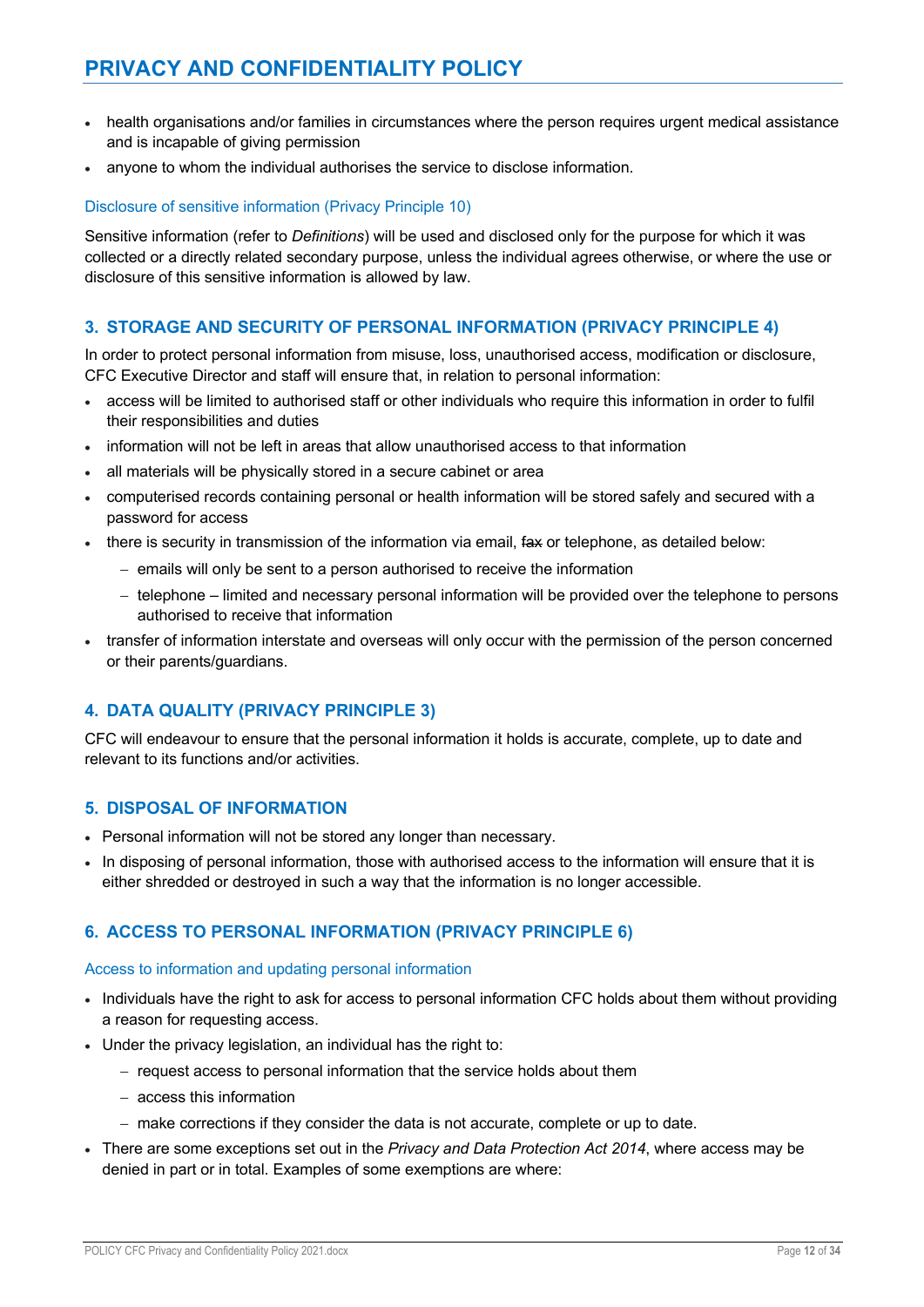- health organisations and/or families in circumstances where the person requires urgent medical assistance and is incapable of giving permission
- anyone to whom the individual authorises the service to disclose information.

# Disclosure of sensitive information (Privacy Principle 10)

Sensitive information (refer to *Definitions*) will be used and disclosed only for the purpose for which it was collected or a directly related secondary purpose, unless the individual agrees otherwise, or where the use or disclosure of this sensitive information is allowed by law.

# **3. STORAGE AND SECURITY OF PERSONAL INFORMATION (PRIVACY PRINCIPLE 4)**

In order to protect personal information from misuse, loss, unauthorised access, modification or disclosure, CFC Executive Director and staff will ensure that, in relation to personal information:

- access will be limited to authorised staff or other individuals who require this information in order to fulfil their responsibilities and duties
- information will not be left in areas that allow unauthorised access to that information
- all materials will be physically stored in a secure cabinet or area
- computerised records containing personal or health information will be stored safely and secured with a password for access
- there is security in transmission of the information via email,  $f$ ax or telephone, as detailed below:
	- emails will only be sent to a person authorised to receive the information
	- telephone limited and necessary personal information will be provided over the telephone to persons authorised to receive that information
- transfer of information interstate and overseas will only occur with the permission of the person concerned or their parents/guardians.

# **4. DATA QUALITY (PRIVACY PRINCIPLE 3)**

CFC will endeavour to ensure that the personal information it holds is accurate, complete, up to date and relevant to its functions and/or activities.

# **5. DISPOSAL OF INFORMATION**

- Personal information will not be stored any longer than necessary.
- In disposing of personal information, those with authorised access to the information will ensure that it is either shredded or destroyed in such a way that the information is no longer accessible.

# **6. ACCESS TO PERSONAL INFORMATION (PRIVACY PRINCIPLE 6)**

# Access to information and updating personal information

- Individuals have the right to ask for access to personal information CFC holds about them without providing a reason for requesting access.
- Under the privacy legislation, an individual has the right to:
	- request access to personal information that the service holds about them
	- access this information
	- make corrections if they consider the data is not accurate, complete or up to date.
- There are some exceptions set out in the *Privacy and Data Protection Act 2014*, where access may be denied in part or in total. Examples of some exemptions are where: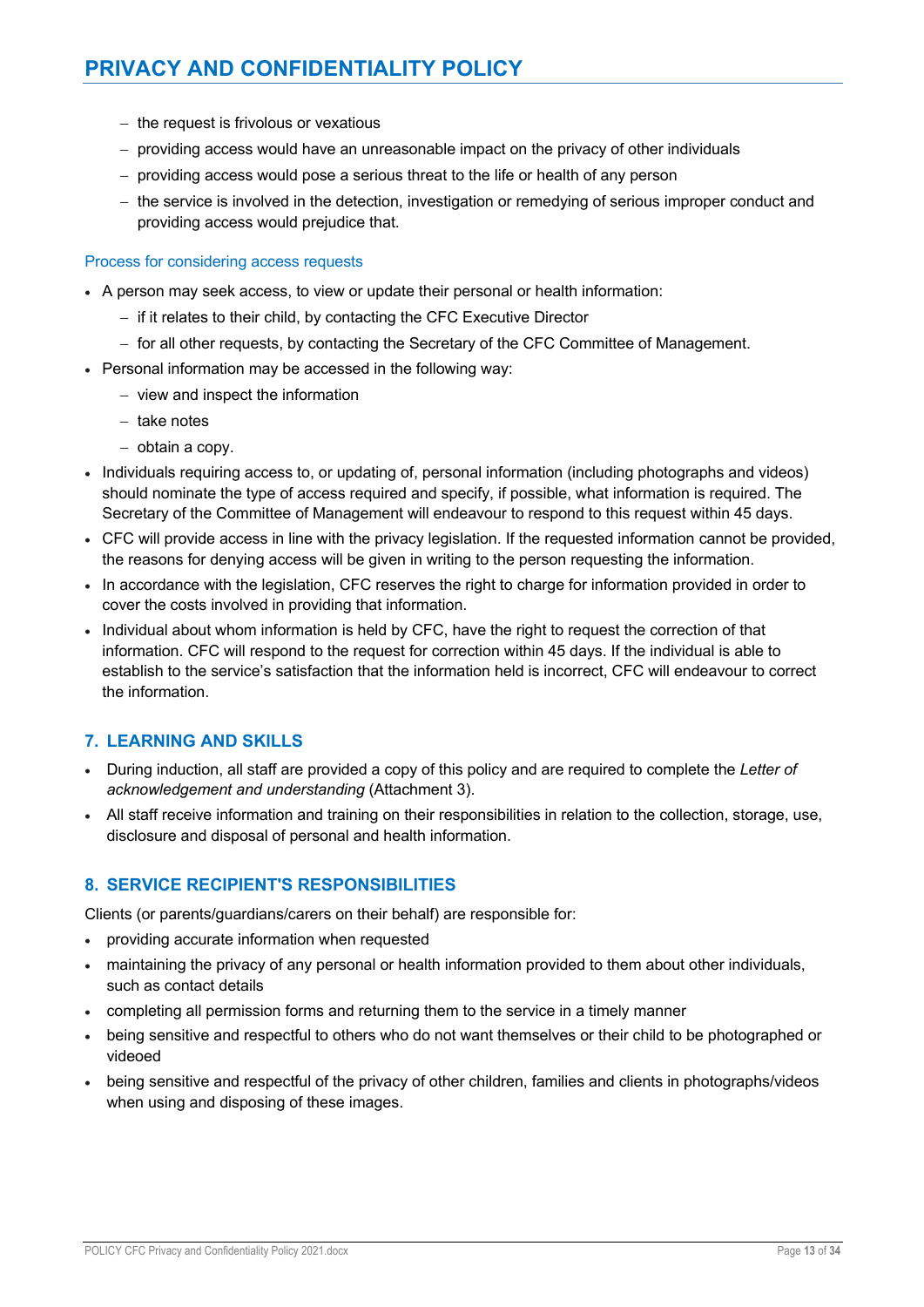- the request is frivolous or vexatious
- providing access would have an unreasonable impact on the privacy of other individuals
- providing access would pose a serious threat to the life or health of any person
- the service is involved in the detection, investigation or remedying of serious improper conduct and providing access would prejudice that.

#### Process for considering access requests

- A person may seek access, to view or update their personal or health information:
	- if it relates to their child, by contacting the CFC Executive Director
	- for all other requests, by contacting the Secretary of the CFC Committee of Management.
- Personal information may be accessed in the following way:
	- view and inspect the information
	- take notes
	- $-$  obtain a copy.
- Individuals requiring access to, or updating of, personal information (including photographs and videos) should nominate the type of access required and specify, if possible, what information is required. The Secretary of the Committee of Management will endeavour to respond to this request within 45 days.
- CFC will provide access in line with the privacy legislation. If the requested information cannot be provided, the reasons for denying access will be given in writing to the person requesting the information.
- In accordance with the legislation, CFC reserves the right to charge for information provided in order to cover the costs involved in providing that information.
- Individual about whom information is held by CFC, have the right to request the correction of that information. CFC will respond to the request for correction within 45 days. If the individual is able to establish to the service's satisfaction that the information held is incorrect, CFC will endeavour to correct the information.

# **7. LEARNING AND SKILLS**

- During induction, all staff are provided a copy of this policy and are required to complete the *Letter of acknowledgement and understanding* (Attachment 3).
- All staff receive information and training on their responsibilities in relation to the collection, storage, use, disclosure and disposal of personal and health information.

# **8. SERVICE RECIPIENT'S RESPONSIBILITIES**

Clients (or parents/guardians/carers on their behalf) are responsible for:

- providing accurate information when requested
- maintaining the privacy of any personal or health information provided to them about other individuals, such as contact details
- completing all permission forms and returning them to the service in a timely manner
- being sensitive and respectful to others who do not want themselves or their child to be photographed or videoed
- being sensitive and respectful of the privacy of other children, families and clients in photographs/videos when using and disposing of these images.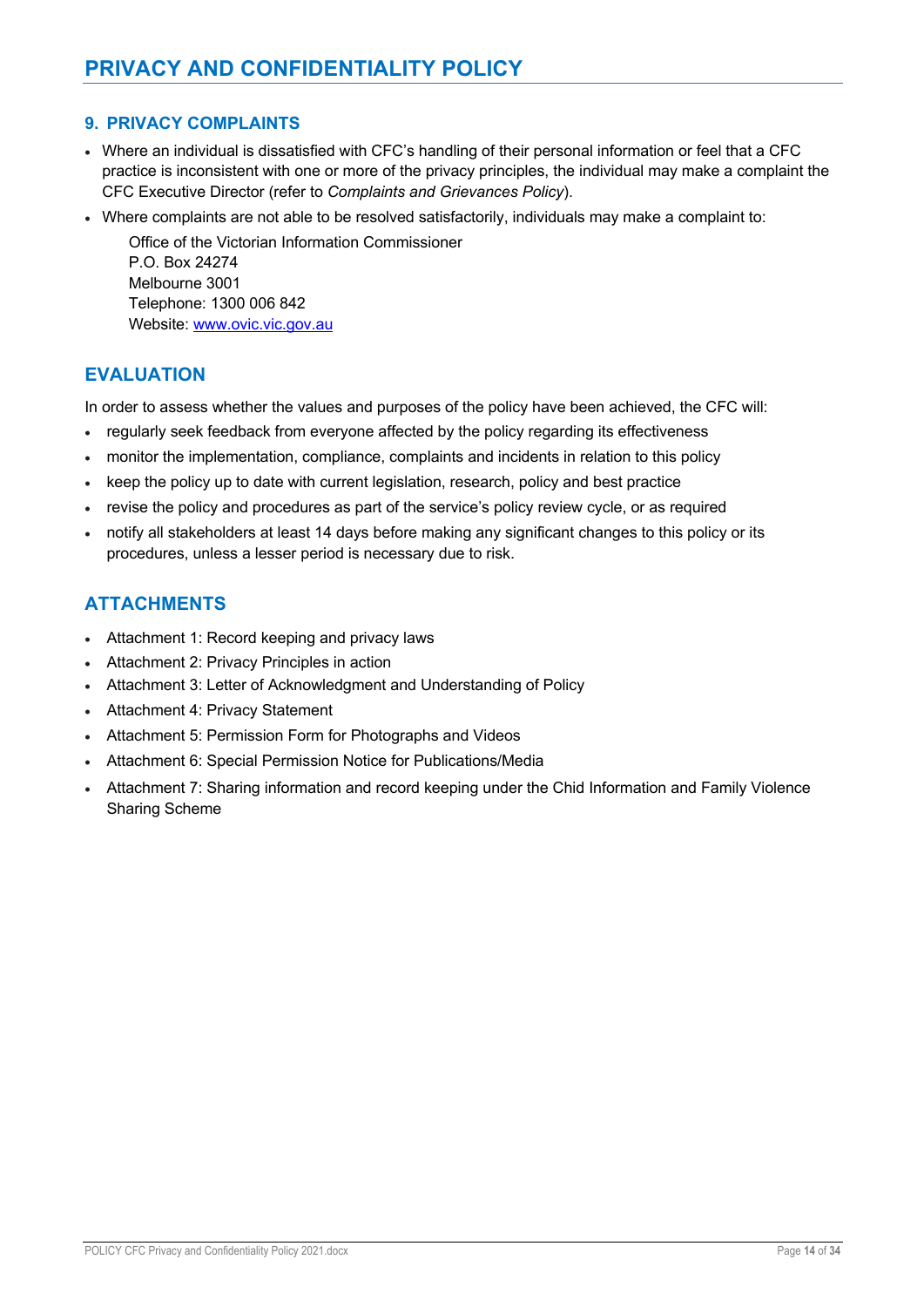# **9. PRIVACY COMPLAINTS**

- Where an individual is dissatisfied with CFC's handling of their personal information or feel that a CFC practice is inconsistent with one or more of the privacy principles, the individual may make a complaint the CFC Executive Director (refer to *Complaints and Grievances Policy*).
- Where complaints are not able to be resolved satisfactorily, individuals may make a complaint to:

Office of the Victorian Information Commissioner P.O. Box 24274 Melbourne 3001 Telephone: 1300 006 842 Website: www.ovic.vic.gov.au

# **EVALUATION**

In order to assess whether the values and purposes of the policy have been achieved, the CFC will:

- regularly seek feedback from everyone affected by the policy regarding its effectiveness
- monitor the implementation, compliance, complaints and incidents in relation to this policy
- keep the policy up to date with current legislation, research, policy and best practice
- revise the policy and procedures as part of the service's policy review cycle, or as required
- notify all stakeholders at least 14 days before making any significant changes to this policy or its procedures, unless a lesser period is necessary due to risk.

# **ATTACHMENTS**

- Attachment 1: Record keeping and privacy laws
- Attachment 2: Privacy Principles in action
- Attachment 3: Letter of Acknowledgment and Understanding of Policy
- Attachment 4: Privacy Statement
- Attachment 5: Permission Form for Photographs and Videos
- Attachment 6: Special Permission Notice for Publications/Media
- Attachment 7: Sharing information and record keeping under the Chid Information and Family Violence Sharing Scheme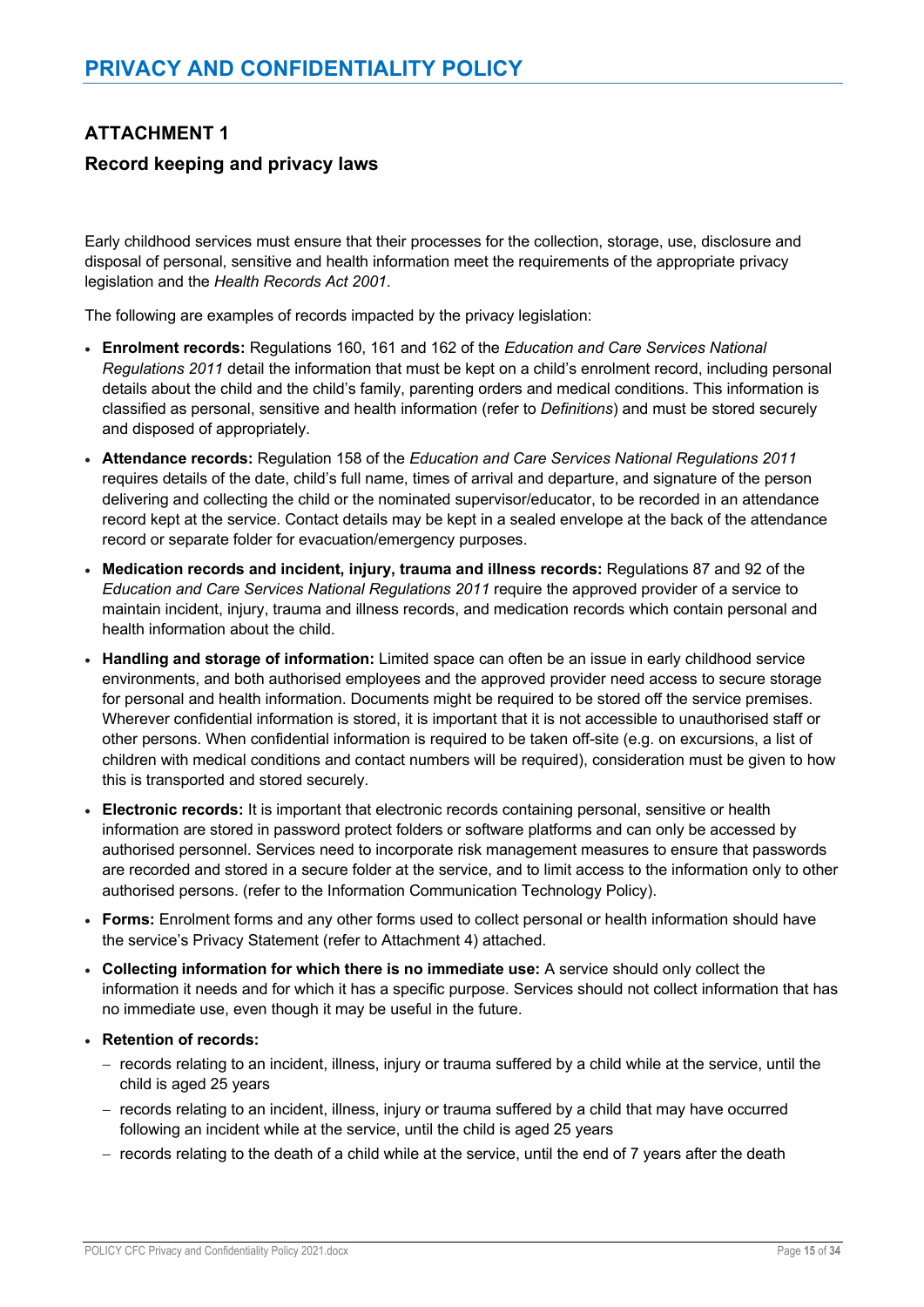# **ATTACHMENT 1 Record keeping and privacy laws**

Early childhood services must ensure that their processes for the collection, storage, use, disclosure and disposal of personal, sensitive and health information meet the requirements of the appropriate privacy legislation and the *Health Records Act 2001*.

The following are examples of records impacted by the privacy legislation:

- **Enrolment records:** Regulations 160, 161 and 162 of the *Education and Care Services National Regulations 2011* detail the information that must be kept on a child's enrolment record, including personal details about the child and the child's family, parenting orders and medical conditions. This information is classified as personal, sensitive and health information (refer to *Definitions*) and must be stored securely and disposed of appropriately.
- **Attendance records:** Regulation 158 of the *Education and Care Services National Regulations 2011* requires details of the date, child's full name, times of arrival and departure, and signature of the person delivering and collecting the child or the nominated supervisor/educator, to be recorded in an attendance record kept at the service. Contact details may be kept in a sealed envelope at the back of the attendance record or separate folder for evacuation/emergency purposes.
- **Medication records and incident, injury, trauma and illness records:** Regulations 87 and 92 of the *Education and Care Services National Regulations 2011* require the approved provider of a service to maintain incident, injury, trauma and illness records, and medication records which contain personal and health information about the child.
- **Handling and storage of information:** Limited space can often be an issue in early childhood service environments, and both authorised employees and the approved provider need access to secure storage for personal and health information. Documents might be required to be stored off the service premises. Wherever confidential information is stored, it is important that it is not accessible to unauthorised staff or other persons. When confidential information is required to be taken off-site (e.g. on excursions, a list of children with medical conditions and contact numbers will be required), consideration must be given to how this is transported and stored securely.
- **Electronic records:** It is important that electronic records containing personal, sensitive or health information are stored in password protect folders or software platforms and can only be accessed by authorised personnel. Services need to incorporate risk management measures to ensure that passwords are recorded and stored in a secure folder at the service, and to limit access to the information only to other authorised persons. (refer to the Information Communication Technology Policy).
- **Forms:** Enrolment forms and any other forms used to collect personal or health information should have the service's Privacy Statement (refer to Attachment 4) attached.
- **Collecting information for which there is no immediate use:** A service should only collect the information it needs and for which it has a specific purpose. Services should not collect information that has no immediate use, even though it may be useful in the future.
- **Retention of records:** 
	- records relating to an incident, illness, injury or trauma suffered by a child while at the service, until the child is aged 25 years
	- records relating to an incident, illness, injury or trauma suffered by a child that may have occurred following an incident while at the service, until the child is aged 25 years
	- records relating to the death of a child while at the service, until the end of 7 years after the death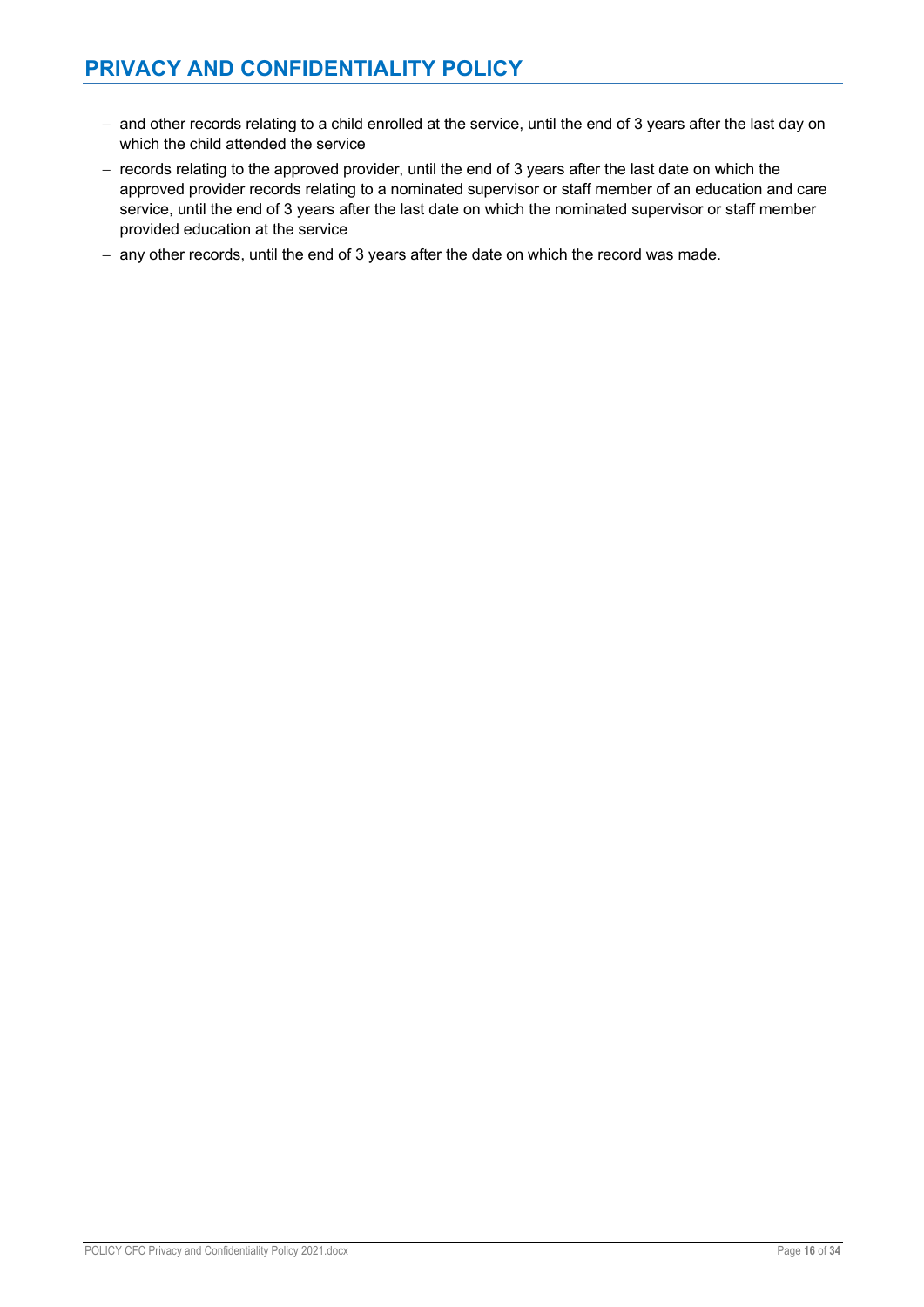- and other records relating to a child enrolled at the service, until the end of 3 years after the last day on which the child attended the service
- records relating to the approved provider, until the end of 3 years after the last date on which the approved provider records relating to a nominated supervisor or staff member of an education and care service, until the end of 3 years after the last date on which the nominated supervisor or staff member provided education at the service
- any other records, until the end of 3 years after the date on which the record was made.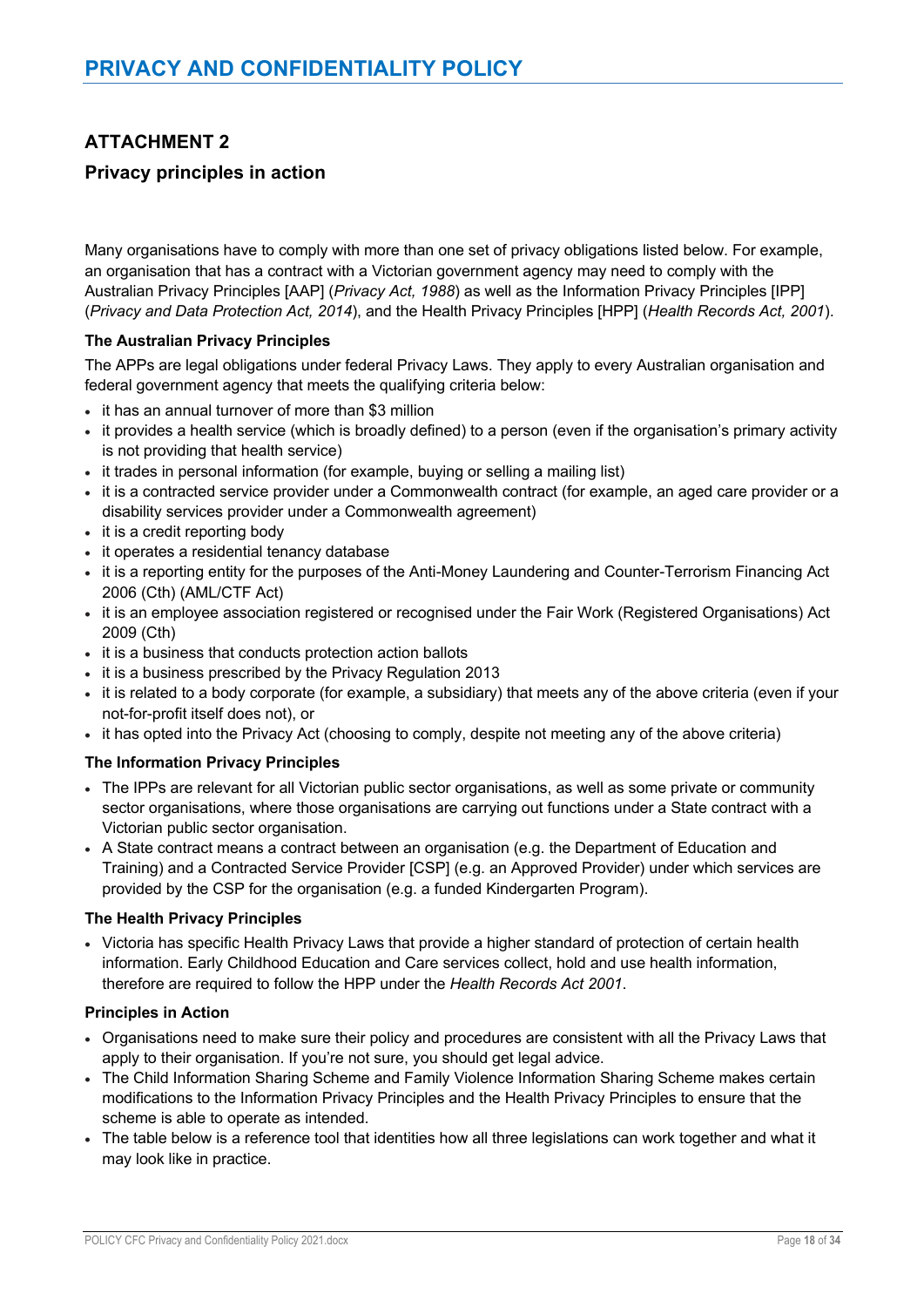# **ATTACHMENT 2**

# **Privacy principles in action**

Many organisations have to comply with more than one set of privacy obligations listed below. For example, an organisation that has a contract with a Victorian government agency may need to comply with the Australian Privacy Principles [AAP] (*Privacy Act, 1988*) as well as the Information Privacy Principles [IPP] (*Privacy and Data Protection Act, 2014*), and the Health Privacy Principles [HPP] (*Health Records Act, 2001*).

## **The Australian Privacy Principles**

The APPs are legal obligations under federal Privacy Laws. They apply to every Australian organisation and federal government agency that meets the qualifying criteria below:

- it has an annual turnover of more than \$3 million
- it provides a health service (which is broadly defined) to a person (even if the organisation's primary activity is not providing that health service)
- it trades in personal information (for example, buying or selling a mailing list)
- it is a contracted service provider under a Commonwealth contract (for example, an aged care provider or a disability services provider under a Commonwealth agreement)
- it is a credit reporting body
- it operates a residential tenancy database
- it is a reporting entity for the purposes of the Anti-Money Laundering and Counter-Terrorism Financing Act 2006 (Cth) (AML/CTF Act)
- it is an employee association registered or recognised under the Fair Work (Registered Organisations) Act 2009 (Cth)
- it is a business that conducts protection action ballots
- it is a business prescribed by the Privacy Regulation 2013
- it is related to a body corporate (for example, a subsidiary) that meets any of the above criteria (even if your not-for-profit itself does not), or
- it has opted into the Privacy Act (choosing to comply, despite not meeting any of the above criteria)

### **The Information Privacy Principles**

- The IPPs are relevant for all Victorian public sector organisations, as well as some private or community sector organisations, where those organisations are carrying out functions under a State contract with a Victorian public sector organisation.
- A State contract means a contract between an organisation (e.g. the Department of Education and Training) and a Contracted Service Provider [CSP] (e.g. an Approved Provider) under which services are provided by the CSP for the organisation (e.g. a funded Kindergarten Program).

### **The Health Privacy Principles**

• Victoria has specific Health Privacy Laws that provide a higher standard of protection of certain health information. Early Childhood Education and Care services collect, hold and use health information, therefore are required to follow the HPP under the *Health Records Act 2001*.

### **Principles in Action**

- Organisations need to make sure their policy and procedures are consistent with all the Privacy Laws that apply to their organisation. If you're not sure, you should get legal advice.
- The Child Information Sharing Scheme and Family Violence Information Sharing Scheme makes certain modifications to the Information Privacy Principles and the Health Privacy Principles to ensure that the scheme is able to operate as intended.
- The table below is a reference tool that identities how all three legislations can work together and what it may look like in practice.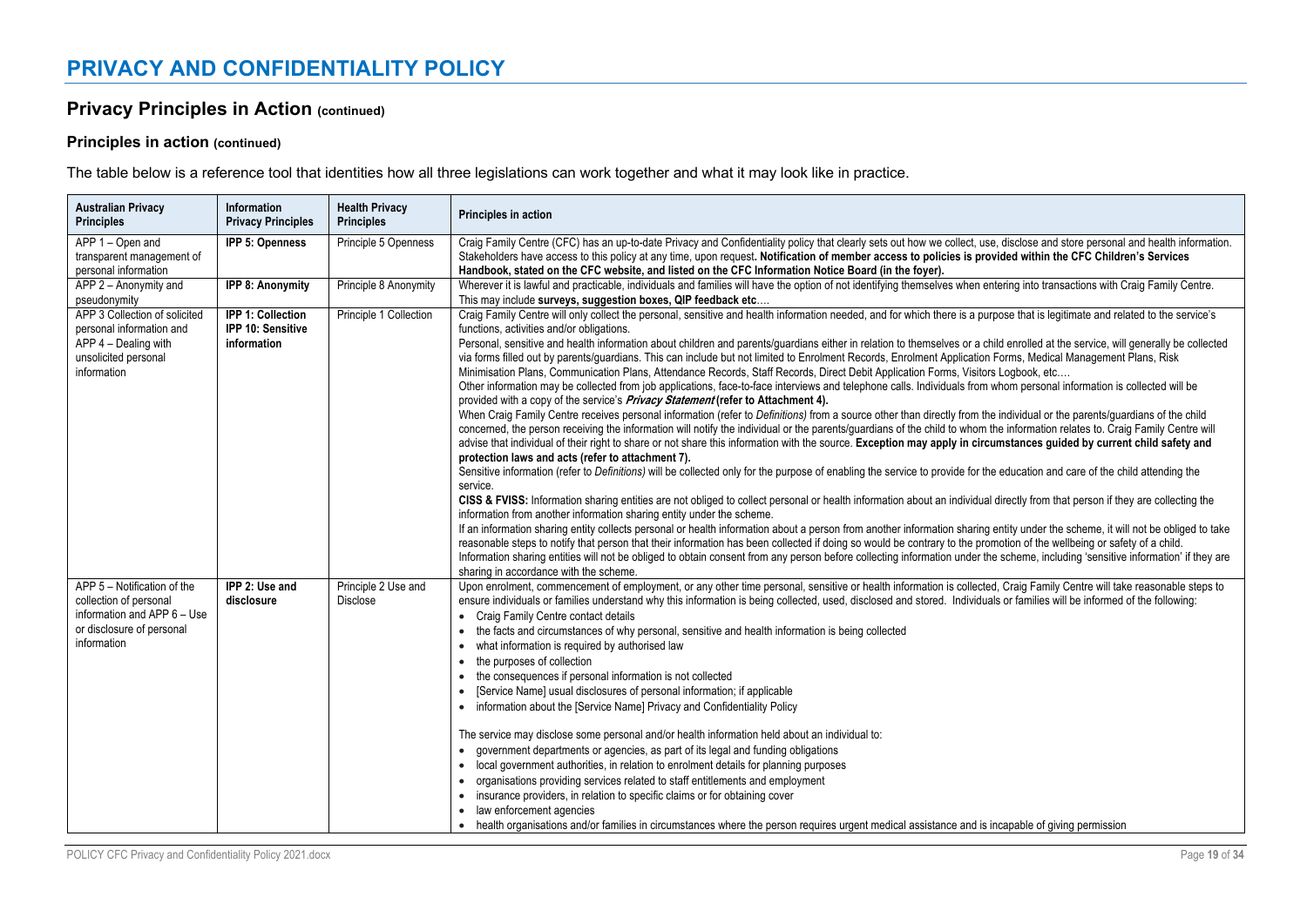# **Privacy Principles in Action (continued)**

# **Principles in action (continued)**

The table below is a reference tool that identities how all three legislations can work together and what it may look like in practice.

| <b>Australian Privacy</b><br><b>Principles</b>                                                                                   | Information<br><b>Privacy Principles</b>                            | <b>Health Privacy</b><br><b>Principles</b> | Principles in action                                                                                                                                                                                                                                                                                                                                                                                                                                                                                                                                                                                                                                                                                                                                                                                                                                                                                                                                                                                                                                                                                                                                                                                                                                                                                                                                                                                                                                                                                                                                                                                                                                                                                                                                                                                                                                                                                                                                                                                                                                                                                                                                                                                                                                                                                                                                                                                                                                                                                                                                                                                                             |
|----------------------------------------------------------------------------------------------------------------------------------|---------------------------------------------------------------------|--------------------------------------------|----------------------------------------------------------------------------------------------------------------------------------------------------------------------------------------------------------------------------------------------------------------------------------------------------------------------------------------------------------------------------------------------------------------------------------------------------------------------------------------------------------------------------------------------------------------------------------------------------------------------------------------------------------------------------------------------------------------------------------------------------------------------------------------------------------------------------------------------------------------------------------------------------------------------------------------------------------------------------------------------------------------------------------------------------------------------------------------------------------------------------------------------------------------------------------------------------------------------------------------------------------------------------------------------------------------------------------------------------------------------------------------------------------------------------------------------------------------------------------------------------------------------------------------------------------------------------------------------------------------------------------------------------------------------------------------------------------------------------------------------------------------------------------------------------------------------------------------------------------------------------------------------------------------------------------------------------------------------------------------------------------------------------------------------------------------------------------------------------------------------------------------------------------------------------------------------------------------------------------------------------------------------------------------------------------------------------------------------------------------------------------------------------------------------------------------------------------------------------------------------------------------------------------------------------------------------------------------------------------------------------------|
| APP 1 - Open and<br>transparent management of<br>personal information                                                            | IPP 5: Openness                                                     | Principle 5 Openness                       | Craig Family Centre (CFC) has an up-to-date Privacy and Confidentiality policy that clearly sets out how we collect, use, disclose and store personal and health information.<br>Stakeholders have access to this policy at any time, upon request. Notification of member access to policies is provided within the CFC Children's Services<br>Handbook, stated on the CFC website, and listed on the CFC Information Notice Board (in the foyer).                                                                                                                                                                                                                                                                                                                                                                                                                                                                                                                                                                                                                                                                                                                                                                                                                                                                                                                                                                                                                                                                                                                                                                                                                                                                                                                                                                                                                                                                                                                                                                                                                                                                                                                                                                                                                                                                                                                                                                                                                                                                                                                                                                              |
| APP 2 - Anonymity and<br>pseudonymity                                                                                            | <b>IPP 8: Anonymity</b>                                             | Principle 8 Anonymity                      | Wherever it is lawful and practicable, individuals and families will have the option of not identifying themselves when entering into transactions with Craig Family Centre.<br>This may include surveys, suggestion boxes, QIP feedback etc                                                                                                                                                                                                                                                                                                                                                                                                                                                                                                                                                                                                                                                                                                                                                                                                                                                                                                                                                                                                                                                                                                                                                                                                                                                                                                                                                                                                                                                                                                                                                                                                                                                                                                                                                                                                                                                                                                                                                                                                                                                                                                                                                                                                                                                                                                                                                                                     |
| APP 3 Collection of solicited<br>personal information and<br>APP 4 - Dealing with<br>unsolicited personal<br>information         | <b>IPP 1: Collection</b><br><b>IPP 10: Sensitive</b><br>information | Principle 1 Collection                     | Craig Family Centre will only collect the personal, sensitive and health information needed, and for which there is a purpose that is legitimate and related to the service's<br>functions, activities and/or obligations.<br>Personal, sensitive and health information about children and parents/guardians either in relation to themselves or a child enrolled at the service, will generally be collected<br>via forms filled out by parents/quardians. This can include but not limited to Enrolment Records, Enrolment Application Forms, Medical Management Plans, Risk<br>Minimisation Plans, Communication Plans, Attendance Records, Staff Records, Direct Debit Application Forms, Visitors Logbook, etc<br>Other information may be collected from job applications, face-to-face interviews and telephone calls. Individuals from whom personal information is collected will be<br>provided with a copy of the service's Privacy Statement (refer to Attachment 4).<br>When Craig Family Centre receives personal information (refer to Definitions) from a source other than directly from the individual or the parents/quardians of the child<br>concerned, the person receiving the information will notify the individual or the parents/guardians of the child to whom the information relates to. Craig Family Centre will<br>advise that individual of their right to share or not share this information with the source. Exception may apply in circumstances guided by current child safety and<br>protection laws and acts (refer to attachment 7).<br>Sensitive information (refer to Definitions) will be collected only for the purpose of enabling the service to provide for the education and care of the child attending the<br>service.<br>CISS & FVISS: Information sharing entities are not obliged to collect personal or health information about an individual directly from that person if they are collecting the<br>information from another information sharing entity under the scheme.<br>If an information sharing entity collects personal or health information about a person from another information sharing entity under the scheme, it will not be obliged to take<br>reasonable steps to notify that person that their information has been collected if doing so would be contrary to the promotion of the wellbeing or safety of a child.<br>Information sharing entities will not be obliged to obtain consent from any person before collecting information under the scheme, including 'sensitive information' if they are<br>sharing in accordance with the scheme. |
| APP 5 - Notification of the<br>collection of personal<br>information and APP 6 - Use<br>or disclosure of personal<br>information | IPP 2: Use and<br>disclosure                                        | Principle 2 Use and<br><b>Disclose</b>     | Upon enrolment, commencement of employment, or any other time personal, sensitive or health information is collected, Craig Family Centre will take reasonable steps to<br>ensure individuals or families understand why this information is being collected, used, disclosed and stored. Individuals or families will be informed of the following:<br>• Craig Family Centre contact details<br>the facts and circumstances of why personal, sensitive and health information is being collected<br>what information is required by authorised law<br>$\bullet$<br>the purposes of collection<br>$\bullet$<br>the consequences if personal information is not collected<br>$\bullet$<br>[Service Name] usual disclosures of personal information; if applicable<br>• information about the [Service Name] Privacy and Confidentiality Policy<br>The service may disclose some personal and/or health information held about an individual to:<br>• government departments or agencies, as part of its legal and funding obligations<br>local government authorities, in relation to enrolment details for planning purposes<br>organisations providing services related to staff entitlements and employment<br>insurance providers, in relation to specific claims or for obtaining cover<br>law enforcement agencies<br>• health organisations and/or families in circumstances where the person requires urgent medical assistance and is incapable of giving permission                                                                                                                                                                                                                                                                                                                                                                                                                                                                                                                                                                                                                                                                                                                                                                                                                                                                                                                                                                                                                                                                                                                                                     |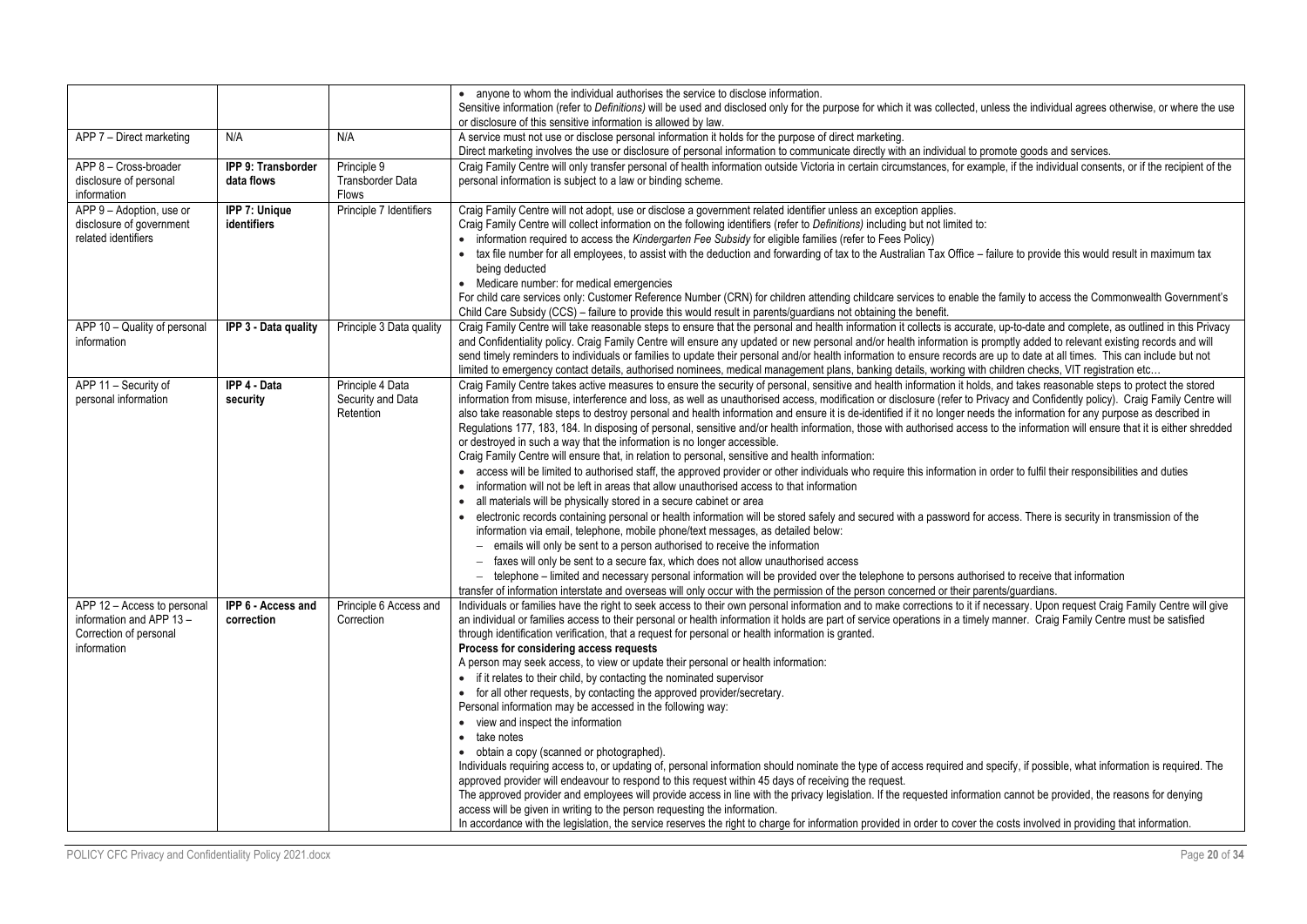|                                                                                                 |                                     |                                                    | • anyone to whom the individual authorises the service to disclose information.<br>Sensitive information (refer to Definitions) will be used and disclosed only for the purpose for which it was collected, unless the individual agrees otherwise, or where the use<br>or disclosure of this sensitive information is allowed by law.                                                                                                                                                                                                                                                                                                                                                                                                                                                                                                                                                                                                                                                                                                                                                                                                                                                                                                                                                                                                                                                                                                                                                                                                                                                                                                                                                                                                                                                                                                                                                                                                                                                                |
|-------------------------------------------------------------------------------------------------|-------------------------------------|----------------------------------------------------|-------------------------------------------------------------------------------------------------------------------------------------------------------------------------------------------------------------------------------------------------------------------------------------------------------------------------------------------------------------------------------------------------------------------------------------------------------------------------------------------------------------------------------------------------------------------------------------------------------------------------------------------------------------------------------------------------------------------------------------------------------------------------------------------------------------------------------------------------------------------------------------------------------------------------------------------------------------------------------------------------------------------------------------------------------------------------------------------------------------------------------------------------------------------------------------------------------------------------------------------------------------------------------------------------------------------------------------------------------------------------------------------------------------------------------------------------------------------------------------------------------------------------------------------------------------------------------------------------------------------------------------------------------------------------------------------------------------------------------------------------------------------------------------------------------------------------------------------------------------------------------------------------------------------------------------------------------------------------------------------------------|
| APP 7 - Direct marketing                                                                        | N/A                                 | N/A                                                | A service must not use or disclose personal information it holds for the purpose of direct marketing.<br>Direct marketing involves the use or disclosure of personal information to communicate directly with an individual to promote goods and services.                                                                                                                                                                                                                                                                                                                                                                                                                                                                                                                                                                                                                                                                                                                                                                                                                                                                                                                                                                                                                                                                                                                                                                                                                                                                                                                                                                                                                                                                                                                                                                                                                                                                                                                                            |
| APP 8 - Cross-broader<br>disclosure of personal<br>information                                  | IPP 9: Transborder<br>data flows    | Principle 9<br>Transborder Data<br><b>Flows</b>    | Craig Family Centre will only transfer personal of health information outside Victoria in certain circumstances, for example, if the individual consents, or if the recipient of the<br>personal information is subject to a law or binding scheme.                                                                                                                                                                                                                                                                                                                                                                                                                                                                                                                                                                                                                                                                                                                                                                                                                                                                                                                                                                                                                                                                                                                                                                                                                                                                                                                                                                                                                                                                                                                                                                                                                                                                                                                                                   |
| APP 9 - Adoption, use or<br>disclosure of government<br>related identifiers                     | <b>IPP 7: Unique</b><br>identifiers | Principle 7 Identifiers                            | Craig Family Centre will not adopt, use or disclose a government related identifier unless an exception applies.<br>Craig Family Centre will collect information on the following identifiers (refer to Definitions) including but not limited to:<br>• information required to access the Kindergarten Fee Subsidy for eligible families (refer to Fees Policy)<br>• tax file number for all employees, to assist with the deduction and forwarding of tax to the Australian Tax Office - failure to provide this would result in maximum tax<br>being deducted<br>• Medicare number: for medical emergencies<br>For child care services only: Customer Reference Number (CRN) for children attending childcare services to enable the family to access the Commonwealth Government's<br>Child Care Subsidy (CCS) – failure to provide this would result in parents/guardians not obtaining the benefit.                                                                                                                                                                                                                                                                                                                                                                                                                                                                                                                                                                                                                                                                                                                                                                                                                                                                                                                                                                                                                                                                                             |
| APP 10 - Quality of personal<br>information                                                     | IPP 3 - Data quality                | Principle 3 Data quality                           | Craig Family Centre will take reasonable steps to ensure that the personal and health information it collects is accurate, up-to-date and complete, as outlined in this Privacy<br>and Confidentiality policy. Craig Family Centre will ensure any updated or new personal and/or health information is promptly added to relevant existing records and will<br>send timely reminders to individuals or families to update their personal and/or health information to ensure records are up to date at all times. This can include but not<br>limited to emergency contact details, authorised nominees, medical management plans, banking details, working with children checks, VIT registration etc                                                                                                                                                                                                                                                                                                                                                                                                                                                                                                                                                                                                                                                                                                                                                                                                                                                                                                                                                                                                                                                                                                                                                                                                                                                                                               |
| APP 11 - Security of<br>personal information                                                    | <b>IPP 4 - Data</b><br>security     | Principle 4 Data<br>Security and Data<br>Retention | Craig Family Centre takes active measures to ensure the security of personal, sensitive and health information it holds, and takes reasonable steps to protect the stored<br>information from misuse, interference and loss, as well as unauthorised access, modification or disclosure (refer to Privacy and Confidently policy). Craig Family Centre will<br>also take reasonable steps to destroy personal and health information and ensure it is de-identified if it no longer needs the information for any purpose as described in<br>Requlations 177, 183, 184. In disposing of personal, sensitive and/or health information, those with authorised access to the information will ensure that it is either shredded<br>or destroyed in such a way that the information is no longer accessible.<br>Craig Family Centre will ensure that, in relation to personal, sensitive and health information:<br>• access will be limited to authorised staff, the approved provider or other individuals who require this information in order to fulfil their responsibilities and duties<br>• information will not be left in areas that allow unauthorised access to that information<br>• all materials will be physically stored in a secure cabinet or area<br>• electronic records containing personal or health information will be stored safely and secured with a password for access. There is security in transmission of the<br>information via email, telephone, mobile phone/text messages, as detailed below:<br>$-$ emails will only be sent to a person authorised to receive the information<br>- faxes will only be sent to a secure fax, which does not allow unauthorised access<br>- telephone - limited and necessary personal information will be provided over the telephone to persons authorised to receive that information<br>transfer of information interstate and overseas will only occur with the permission of the person concerned or their parents/guardians. |
| APP 12 - Access to personal<br>information and APP 13-<br>Correction of personal<br>information | IPP 6 - Access and<br>correction    | Principle 6 Access and<br>Correction               | Individuals or families have the right to seek access to their own personal information and to make corrections to it if necessary. Upon request Craig Family Centre will give<br>an individual or families access to their personal or health information it holds are part of service operations in a timely manner. Craig Family Centre must be satisfied<br>through identification verification, that a request for personal or health information is granted.<br>Process for considering access requests<br>A person may seek access, to view or update their personal or health information:<br>• if it relates to their child, by contacting the nominated supervisor<br>• for all other requests, by contacting the approved provider/secretary.<br>Personal information may be accessed in the following way:<br>• view and inspect the information<br>• take notes<br>• obtain a copy (scanned or photographed).<br>Individuals requiring access to, or updating of, personal information should nominate the type of access required and specify, if possible, what information is required. The<br>approved provider will endeavour to respond to this request within 45 days of receiving the request.<br>The approved provider and employees will provide access in line with the privacy legislation. If the requested information cannot be provided, the reasons for denying<br>access will be given in writing to the person requesting the information.<br>In accordance with the legislation, the service reserves the right to charge for information provided in order to cover the costs involved in providing that information.                                                                                                                                                                                                                                                                                                                                               |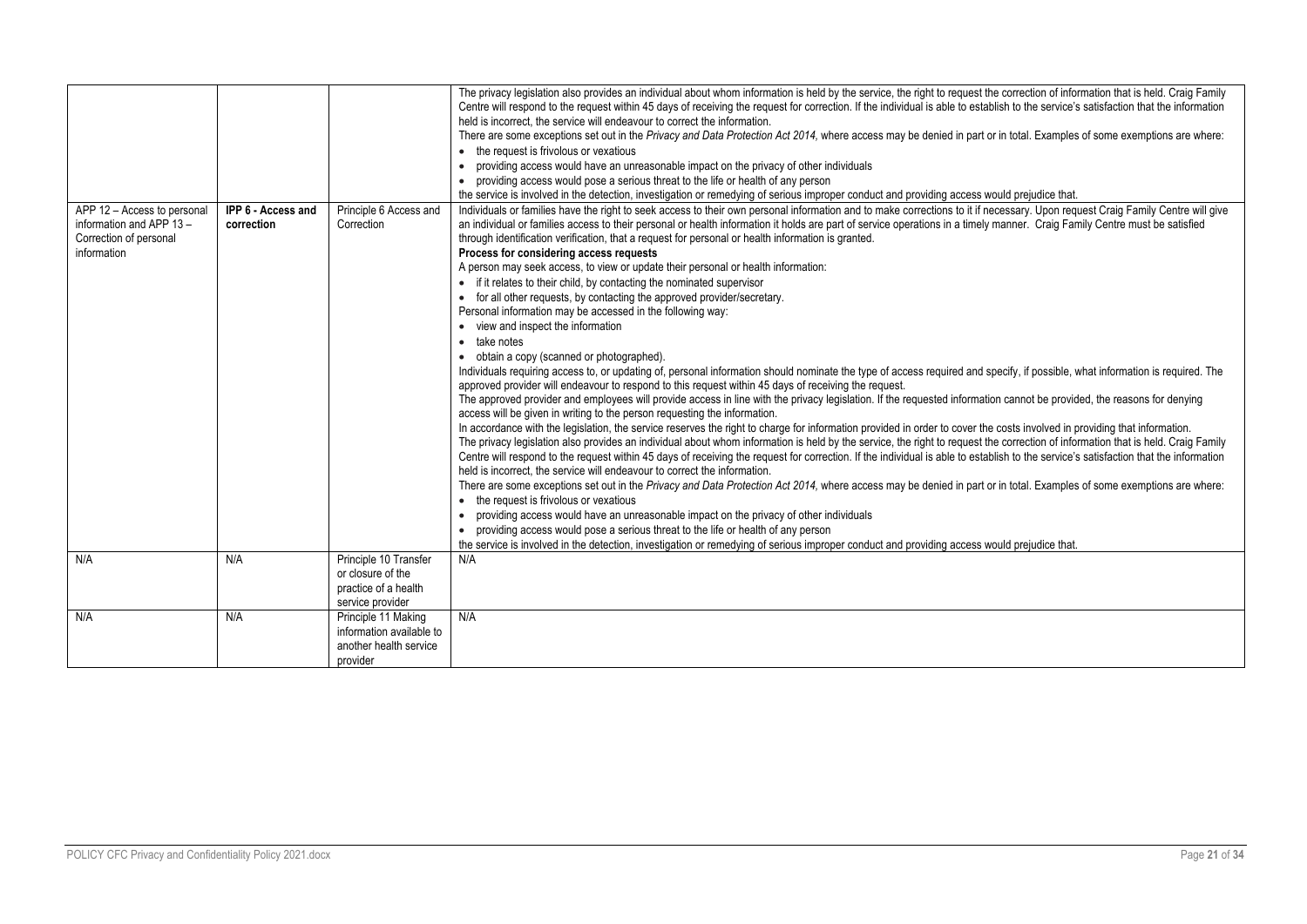|                                                                                                  |                                  |                                                                                        | The privacy legislation also provides an individual about whom information is held by the service, the right to request the correction of information that is held. Craig Family<br>Centre will respond to the request within 45 days of receiving the request for correction. If the individual is able to establish to the service's satisfaction that the information<br>held is incorrect, the service will endeavour to correct the information.<br>There are some exceptions set out in the Privacy and Data Protection Act 2014, where access may be denied in part or in total. Examples of some exemptions are where:<br>• the request is frivolous or vexatious<br>providing access would have an unreasonable impact on the privacy of other individuals<br>• providing access would pose a serious threat to the life or health of any person                                                                                                                                                                                                                                                                                                                                                                                                                                                                                                                                                                                                                                                                                                                                                                                                                                                                                                                                                                               |
|--------------------------------------------------------------------------------------------------|----------------------------------|----------------------------------------------------------------------------------------|-----------------------------------------------------------------------------------------------------------------------------------------------------------------------------------------------------------------------------------------------------------------------------------------------------------------------------------------------------------------------------------------------------------------------------------------------------------------------------------------------------------------------------------------------------------------------------------------------------------------------------------------------------------------------------------------------------------------------------------------------------------------------------------------------------------------------------------------------------------------------------------------------------------------------------------------------------------------------------------------------------------------------------------------------------------------------------------------------------------------------------------------------------------------------------------------------------------------------------------------------------------------------------------------------------------------------------------------------------------------------------------------------------------------------------------------------------------------------------------------------------------------------------------------------------------------------------------------------------------------------------------------------------------------------------------------------------------------------------------------------------------------------------------------------------------------------------------------|
|                                                                                                  |                                  |                                                                                        | the service is involved in the detection, investigation or remedying of serious improper conduct and providing access would prejudice that.                                                                                                                                                                                                                                                                                                                                                                                                                                                                                                                                                                                                                                                                                                                                                                                                                                                                                                                                                                                                                                                                                                                                                                                                                                                                                                                                                                                                                                                                                                                                                                                                                                                                                             |
| APP 12 - Access to personal<br>information and APP 13 -<br>Correction of personal<br>information | IPP 6 - Access and<br>correction | Principle 6 Access and<br>Correction                                                   | Individuals or families have the right to seek access to their own personal information and to make corrections to it if necessary. Upon request Craig Family Centre will give<br>an individual or families access to their personal or health information it holds are part of service operations in a timely manner. Craig Family Centre must be satisfied<br>through identification verification, that a request for personal or health information is granted.<br>Process for considering access requests<br>A person may seek access, to view or update their personal or health information:<br>• if it relates to their child, by contacting the nominated supervisor<br>• for all other requests, by contacting the approved provider/secretary.<br>Personal information may be accessed in the following way:<br>• view and inspect the information<br>take notes<br>obtain a copy (scanned or photographed).<br>Individuals requiring access to, or updating of, personal information should nominate the type of access required and specify, if possible, what information is required. The<br>approved provider will endeavour to respond to this request within 45 days of receiving the request.<br>The approved provider and employees will provide access in line with the privacy legislation. If the requested information cannot be provided, the reasons for denying<br>access will be given in writing to the person requesting the information.<br>In accordance with the legislation, the service reserves the right to charge for information provided in order to cover the costs involved in providing that information.<br>The privacy legislation also provides an individual about whom information is held by the service, the right to request the correction of information that is held. Craig Family |
|                                                                                                  |                                  |                                                                                        | Centre will respond to the request within 45 days of receiving the request for correction. If the individual is able to establish to the service's satisfaction that the information<br>held is incorrect, the service will endeavour to correct the information.<br>There are some exceptions set out in the Privacy and Data Protection Act 2014, where access may be denied in part or in total. Examples of some exemptions are where:<br>• the request is frivolous or vexatious<br>providing access would have an unreasonable impact on the privacy of other individuals<br>providing access would pose a serious threat to the life or health of any person<br>the service is involved in the detection, investigation or remedying of serious improper conduct and providing access would prejudice that.                                                                                                                                                                                                                                                                                                                                                                                                                                                                                                                                                                                                                                                                                                                                                                                                                                                                                                                                                                                                                      |
| N/A                                                                                              | N/A                              | Principle 10 Transfer<br>or closure of the<br>practice of a health<br>service provider | N/A                                                                                                                                                                                                                                                                                                                                                                                                                                                                                                                                                                                                                                                                                                                                                                                                                                                                                                                                                                                                                                                                                                                                                                                                                                                                                                                                                                                                                                                                                                                                                                                                                                                                                                                                                                                                                                     |
| N/A                                                                                              | N/A                              | Principle 11 Making<br>information available to<br>another health service<br>provider  | N/A                                                                                                                                                                                                                                                                                                                                                                                                                                                                                                                                                                                                                                                                                                                                                                                                                                                                                                                                                                                                                                                                                                                                                                                                                                                                                                                                                                                                                                                                                                                                                                                                                                                                                                                                                                                                                                     |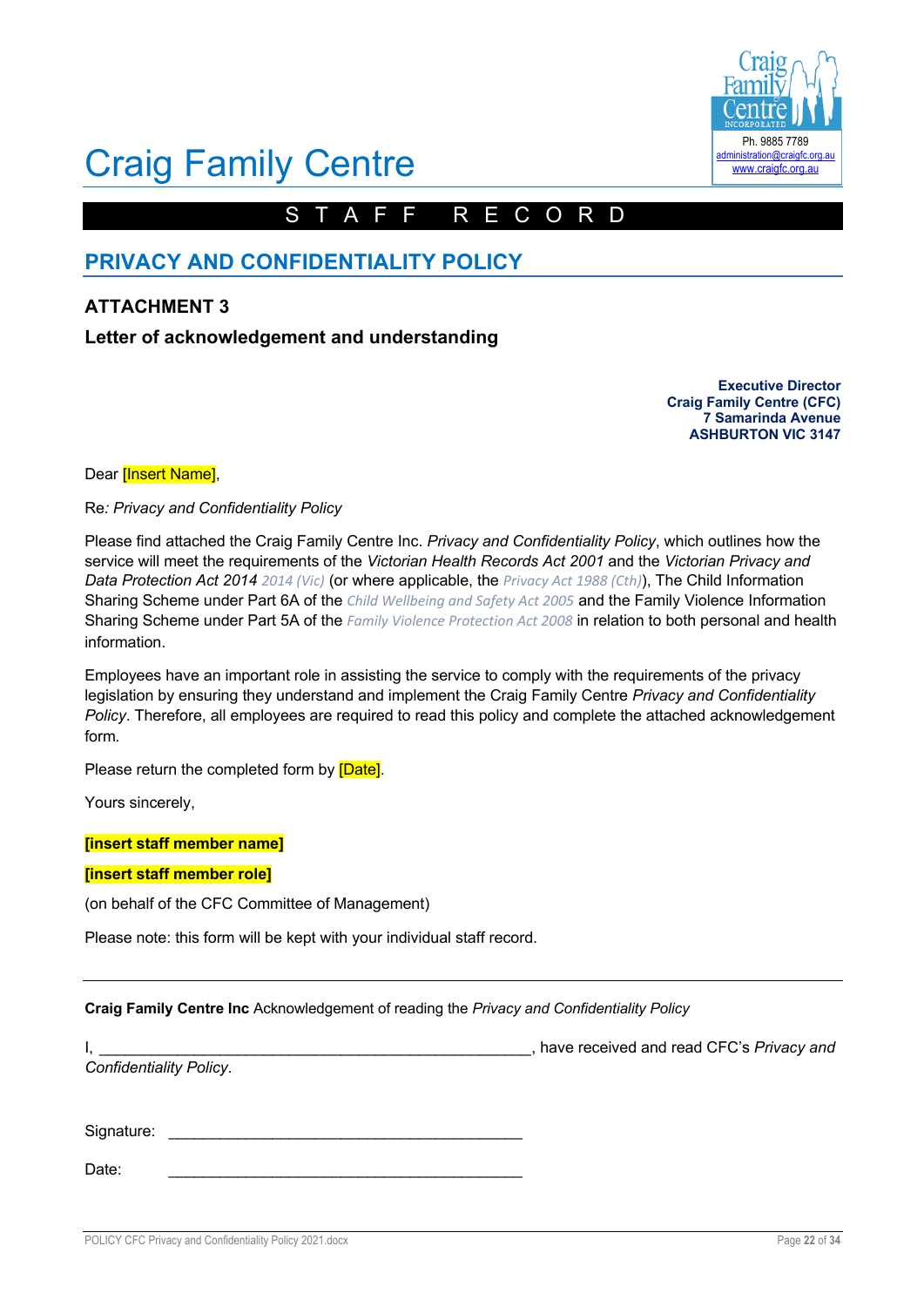

# Craig Family Centre

# STAFF RECORD

# **PRIVACY AND CONFIDENTIALITY POLICY**

# **ATTACHMENT 3**

# **Letter of acknowledgement and understanding**

**Executive Director Craig Family Centre (CFC) 7 Samarinda Avenue ASHBURTON VIC 3147**

Dear **[Insert Name]**,

Re*: Privacy and Confidentiality Policy*

Please find attached the Craig Family Centre Inc. *Privacy and Confidentiality Policy*, which outlines how the service will meet the requirements of the *Victorian Health Records Act 2001* and the *Victorian Privacy and Data Protection Act 2014 2014 (Vic)* (or where applicable, the *Privacy Act 1988 (Cth)*), The Child Information Sharing Scheme under Part 6A of the *Child Wellbeing and Safety Act 2005* and the Family Violence Information Sharing Scheme under Part 5A of the *Family Violence Protection Act 2008* in relation to both personal and health information.

Employees have an important role in assisting the service to comply with the requirements of the privacy legislation by ensuring they understand and implement the Craig Family Centre *Privacy and Confidentiality Policy*. Therefore, all employees are required to read this policy and complete the attached acknowledgement form*.* 

Please return the completed form by [Date].

Yours sincerely,

**[insert staff member name]**

### **[insert staff member role]**

(on behalf of the CFC Committee of Management)

Please note: this form will be kept with your individual staff record.

Date: \_\_\_\_\_\_\_\_\_\_\_\_\_\_\_\_\_\_\_\_\_\_\_\_\_\_\_\_\_\_\_\_\_\_\_\_\_\_\_\_\_

**Craig Family Centre Inc** Acknowledgement of reading the *Privacy and Confidentiality Policy*

|                                | have received and read CFC's Privacy and |
|--------------------------------|------------------------------------------|
| <b>Confidentiality Policy.</b> |                                          |
|                                |                                          |
|                                |                                          |
| Signature:                     |                                          |
|                                |                                          |

POLICY CFC Privacy and Confidentiality Policy 2021.docx **Page 22** of 34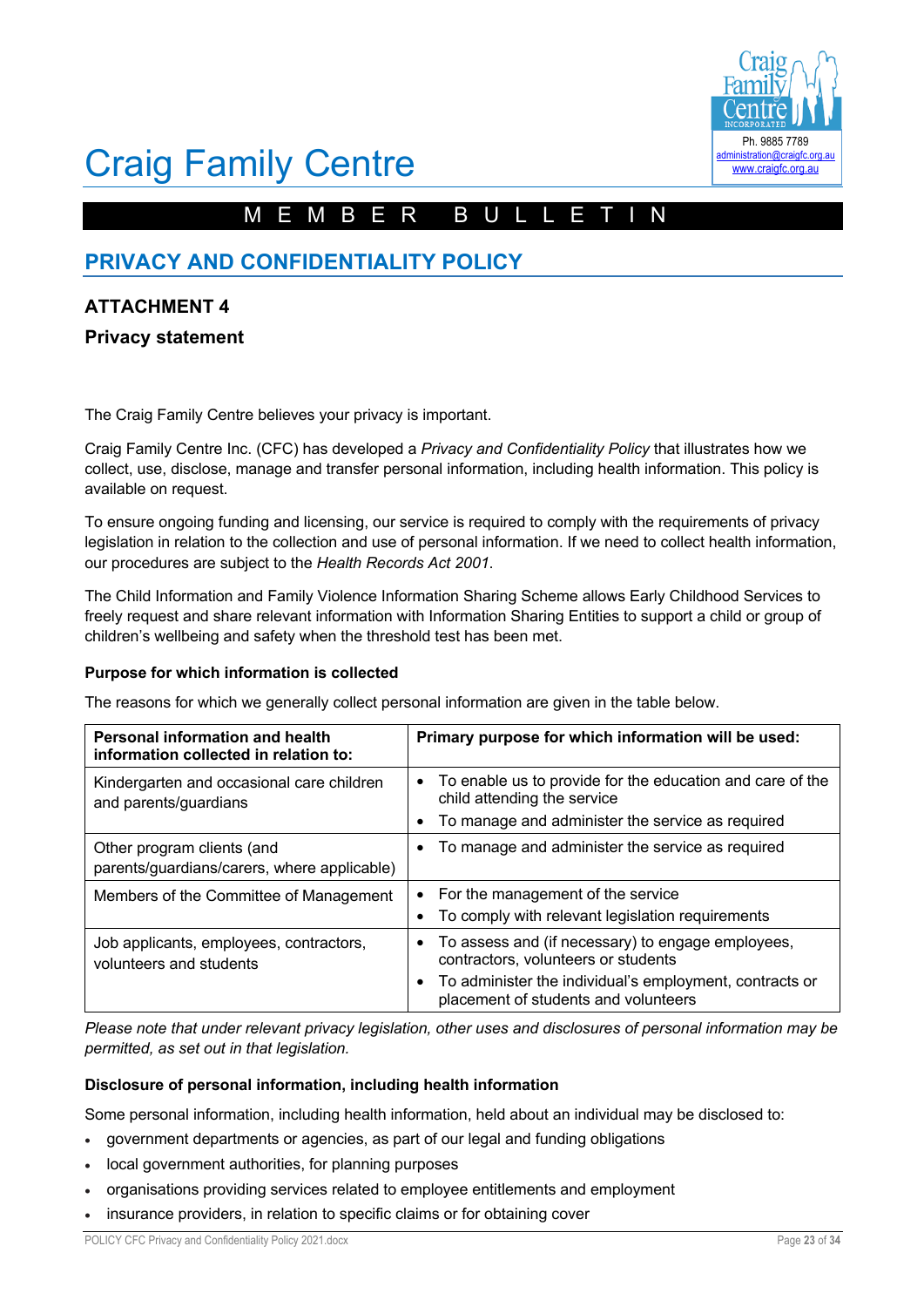

# Craig Family Centre

# MEMBER BULLETIN

# **PRIVACY AND CONFIDENTIALITY POLICY**

# **ATTACHMENT 4**

# **Privacy statement**

The Craig Family Centre believes your privacy is important.

Craig Family Centre Inc. (CFC) has developed a *Privacy and Confidentiality Policy* that illustrates how we collect, use, disclose, manage and transfer personal information, including health information. This policy is available on request.

To ensure ongoing funding and licensing, our service is required to comply with the requirements of privacy legislation in relation to the collection and use of personal information. If we need to collect health information, our procedures are subject to the *Health Records Act 2001*.

The Child Information and Family Violence Information Sharing Scheme allows Early Childhood Services to freely request and share relevant information with Information Sharing Entities to support a child or group of children's wellbeing and safety when the threshold test has been met.

### **Purpose for which information is collected**

The reasons for which we generally collect personal information are given in the table below.

| <b>Personal information and health</b><br>information collected in relation to: | Primary purpose for which information will be used:                                                                                                                                                      |
|---------------------------------------------------------------------------------|----------------------------------------------------------------------------------------------------------------------------------------------------------------------------------------------------------|
| Kindergarten and occasional care children<br>and parents/guardians              | • To enable us to provide for the education and care of the<br>child attending the service<br>To manage and administer the service as required                                                           |
| Other program clients (and<br>parents/guardians/carers, where applicable)       | To manage and administer the service as required<br>٠                                                                                                                                                    |
| Members of the Committee of Management                                          | • For the management of the service<br>To comply with relevant legislation requirements                                                                                                                  |
| Job applicants, employees, contractors,<br>volunteers and students              | To assess and (if necessary) to engage employees,<br>$\bullet$<br>contractors, volunteers or students<br>To administer the individual's employment, contracts or<br>placement of students and volunteers |

*Please note that under relevant privacy legislation, other uses and disclosures of personal information may be permitted, as set out in that legislation.*

### **Disclosure of personal information, including health information**

Some personal information, including health information, held about an individual may be disclosed to:

- government departments or agencies, as part of our legal and funding obligations
- local government authorities, for planning purposes
- organisations providing services related to employee entitlements and employment
- insurance providers, in relation to specific claims or for obtaining cover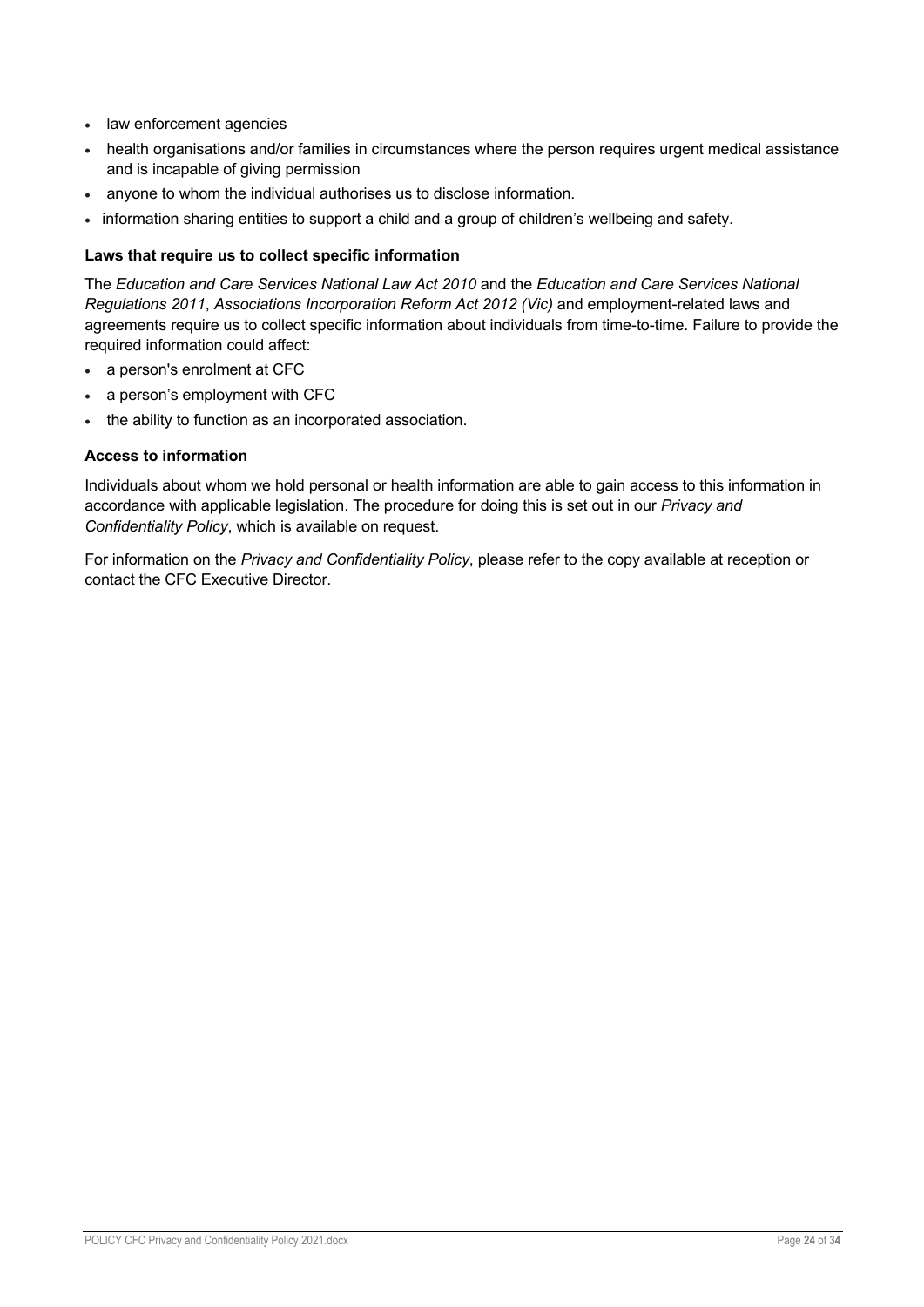- law enforcement agencies
- health organisations and/or families in circumstances where the person requires urgent medical assistance and is incapable of giving permission
- anyone to whom the individual authorises us to disclose information.
- information sharing entities to support a child and a group of children's wellbeing and safety.

# **Laws that require us to collect specific information**

The *Education and Care Services National Law Act 2010* and the *Education and Care Services National Regulations 2011*, *Associations Incorporation Reform Act 2012 (Vic)* and employment-related laws and agreements require us to collect specific information about individuals from time-to-time. Failure to provide the required information could affect:

- a person's enrolment at CFC
- a person's employment with CFC
- the ability to function as an incorporated association.

### **Access to information**

Individuals about whom we hold personal or health information are able to gain access to this information in accordance with applicable legislation. The procedure for doing this is set out in our *Privacy and Confidentiality Policy*, which is available on request.

For information on the *Privacy and Confidentiality Policy*, please refer to the copy available at reception or contact the CFC Executive Director.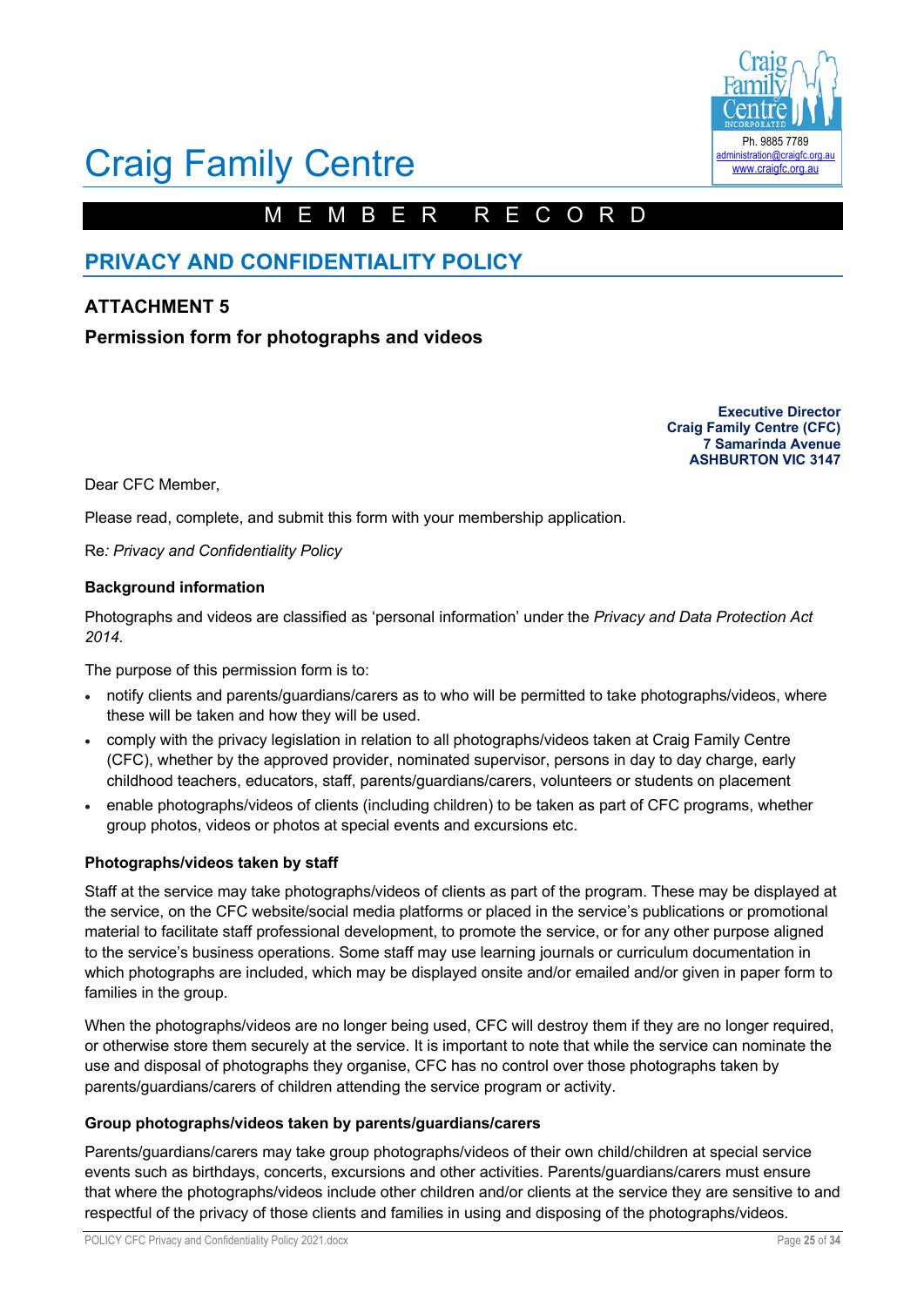

# Craig Family Centre

# MEMBER RECORD

# **PRIVACY AND CONFIDENTIALITY POLICY**

# **ATTACHMENT 5**

# **Permission form for photographs and videos**

**Executive Director Craig Family Centre (CFC) 7 Samarinda Avenue ASHBURTON VIC 3147**

Dear CFC Member,

Please read, complete, and submit this form with your membership application.

Re*: Privacy and Confidentiality Policy*

#### **Background information**

Photographs and videos are classified as 'personal information' under the *Privacy and Data Protection Act 2014.*

The purpose of this permission form is to:

- notify clients and parents/guardians/carers as to who will be permitted to take photographs/videos, where these will be taken and how they will be used.
- comply with the privacy legislation in relation to all photographs/videos taken at Craig Family Centre (CFC), whether by the approved provider, nominated supervisor, persons in day to day charge, early childhood teachers, educators, staff, parents/guardians/carers, volunteers or students on placement
- enable photographs/videos of clients (including children) to be taken as part of CFC programs, whether group photos, videos or photos at special events and excursions etc.

### **Photographs/videos taken by staff**

Staff at the service may take photographs/videos of clients as part of the program. These may be displayed at the service, on the CFC website/social media platforms or placed in the service's publications or promotional material to facilitate staff professional development, to promote the service, or for any other purpose aligned to the service's business operations. Some staff may use learning journals or curriculum documentation in which photographs are included, which may be displayed onsite and/or emailed and/or given in paper form to families in the group.

When the photographs/videos are no longer being used, CFC will destroy them if they are no longer required, or otherwise store them securely at the service. It is important to note that while the service can nominate the use and disposal of photographs they organise, CFC has no control over those photographs taken by parents/guardians/carers of children attending the service program or activity.

### **Group photographs/videos taken by parents/guardians/carers**

Parents/guardians/carers may take group photographs/videos of their own child/children at special service events such as birthdays, concerts, excursions and other activities. Parents/guardians/carers must ensure that where the photographs/videos include other children and/or clients at the service they are sensitive to and respectful of the privacy of those clients and families in using and disposing of the photographs/videos.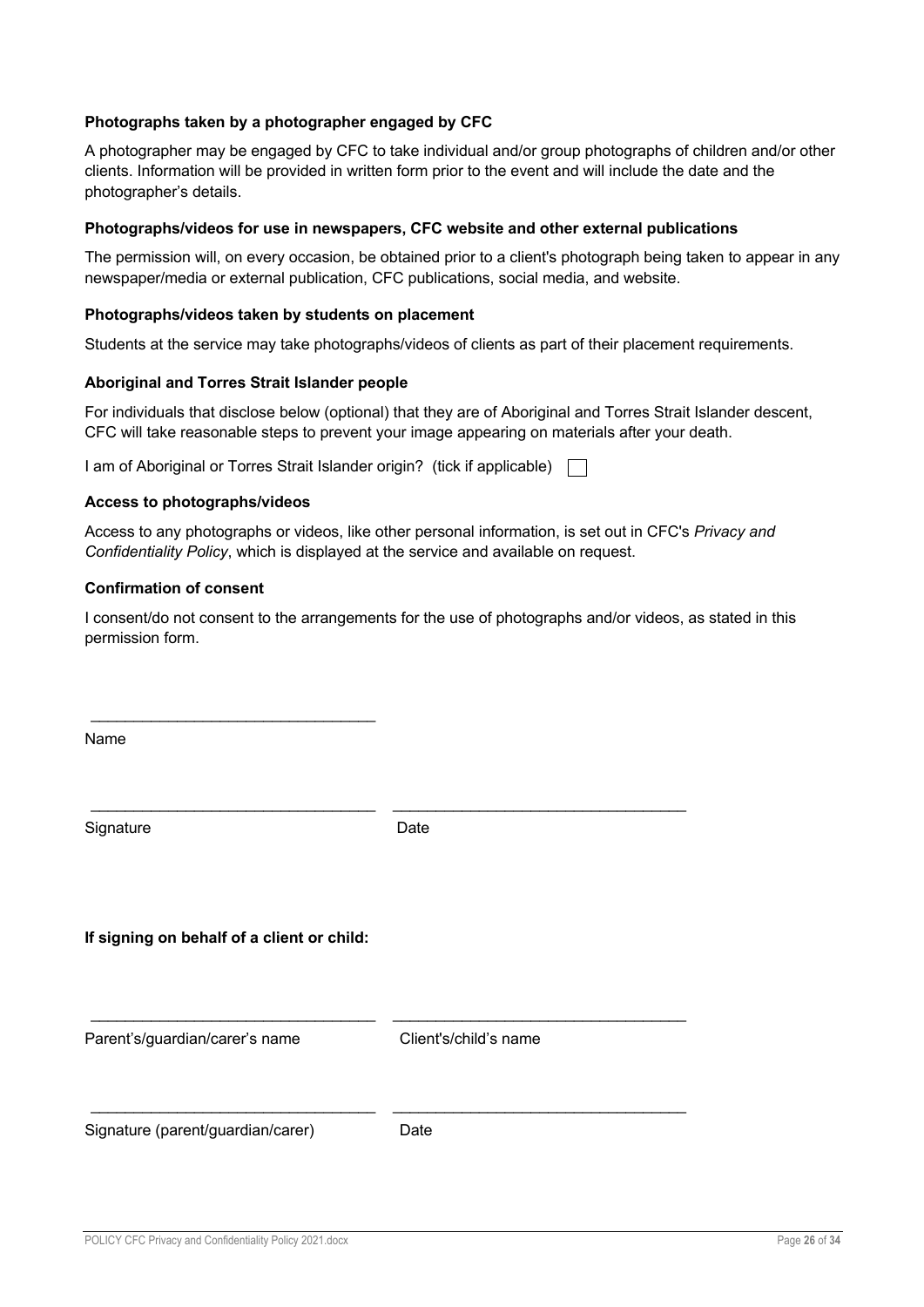## **Photographs taken by a photographer engaged by CFC**

A photographer may be engaged by CFC to take individual and/or group photographs of children and/or other clients. Information will be provided in written form prior to the event and will include the date and the photographer's details.

#### **Photographs/videos for use in newspapers, CFC website and other external publications**

The permission will, on every occasion, be obtained prior to a client's photograph being taken to appear in any newspaper/media or external publication, CFC publications, social media, and website.

#### **Photographs/videos taken by students on placement**

Students at the service may take photographs/videos of clients as part of their placement requirements.

#### **Aboriginal and Torres Strait Islander people**

For individuals that disclose below (optional) that they are of Aboriginal and Torres Strait Islander descent, CFC will take reasonable steps to prevent your image appearing on materials after your death.

I am of Aboriginal or Torres Strait Islander origin? (tick if applicable)  $\Box$ 

#### **Access to photographs/videos**

 $\mathcal{L}_\text{max}$  , and the set of the set of the set of the set of the set of the set of the set of the set of the set of the set of the set of the set of the set of the set of the set of the set of the set of the set of the

Access to any photographs or videos, like other personal information, is set out in CFC's *Privacy and Confidentiality Policy*, which is displayed at the service and available on request.

#### **Confirmation of consent**

I consent/do not consent to the arrangements for the use of photographs and/or videos, as stated in this permission form.

| Name                                       |                       |
|--------------------------------------------|-----------------------|
| Signature                                  | Date                  |
| If signing on behalf of a client or child: |                       |
| Parent's/guardian/carer's name             | Client's/child's name |
| Signature (parent/guardian/carer)          | Date                  |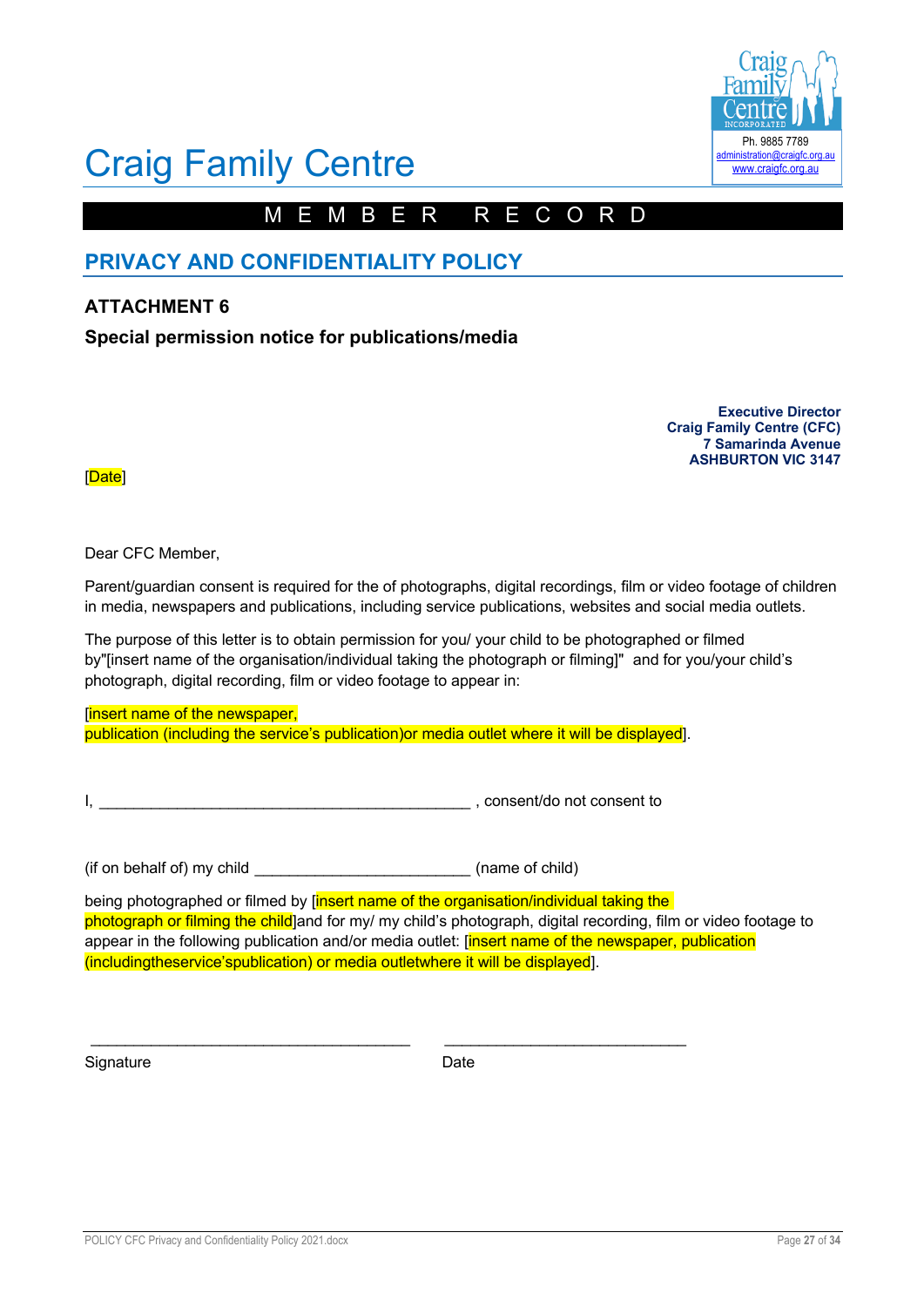

# Craig Family Centre

# MEMBER RECORD

# **PRIVACY AND CONFIDENTIALITY POLICY**

# **ATTACHMENT 6**

**Special permission notice for publications/media**

**Executive Director Craig Family Centre (CFC) 7 Samarinda Avenue ASHBURTON VIC 3147**

[Date]

Dear CFC Member,

Parent/guardian consent is required for the of photographs, digital recordings, film or video footage of children in media, newspapers and publications, including service publications, websites and social media outlets.

The purpose of this letter is to obtain permission for you/ your child to be photographed or filmed by"[insert name of the organisation/individual taking the photograph or filming]" and for you/your child's photograph, digital recording, film or video footage to appear in:

[insert name of the newspaper, publication (including the service's publication)or media outlet where it will be displayed].

\_\_\_\_\_\_\_\_\_\_\_\_\_\_\_\_\_\_\_\_\_\_\_\_\_\_\_\_\_\_\_\_\_\_\_\_\_ \_\_\_\_\_\_\_\_\_\_\_\_\_\_\_\_\_\_\_\_\_\_\_\_\_\_\_\_

I, \_\_\_\_\_\_\_\_\_\_\_\_\_\_\_\_\_\_\_\_\_\_\_\_\_\_\_\_\_\_\_\_\_\_\_\_\_\_\_\_\_\_\_ , consent/do not consent to

(if on behalf of) my child (name of child)

being photographed or filmed by *[insert name of the organisation/individual taking the* photograph or filming the child]and for my/ my child's photograph, digital recording, film or video footage to appear in the following publication and/or media outlet: [insert name of the newspaper, publication (includingtheservice'spublication) or media outletwhere it will be displayed].

Signature Date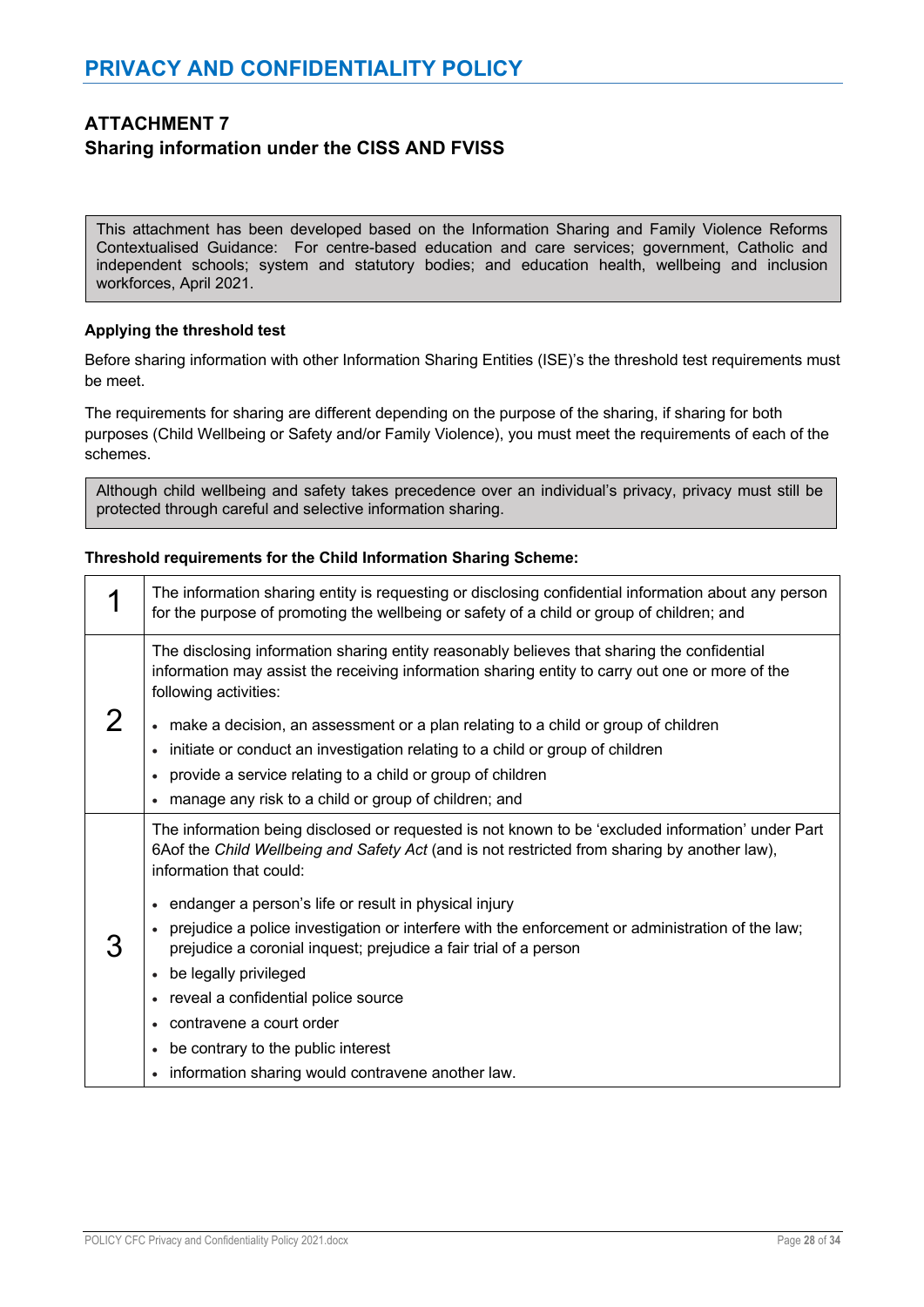# **ATTACHMENT 7 Sharing information under the CISS AND FVISS**

This attachment has been developed based on the Information Sharing and Family Violence Reforms Contextualised Guidance: For centre-based education and care services; government, Catholic and independent schools; system and statutory bodies; and education health, wellbeing and inclusion workforces, April 2021.

### **Applying the threshold test**

Before sharing information with other Information Sharing Entities (ISE)'s the threshold test requirements must be meet.

The requirements for sharing are different depending on the purpose of the sharing, if sharing for both purposes (Child Wellbeing or Safety and/or Family Violence), you must meet the requirements of each of the schemes.

Although child wellbeing and safety takes precedence over an individual's privacy, privacy must still be protected through careful and selective information sharing.

### **Threshold requirements for the Child Information Sharing Scheme:**

| The information sharing entity is requesting or disclosing confidential information about any person<br>for the purpose of promoting the wellbeing or safety of a child or group of children; and                                                                                                              |
|----------------------------------------------------------------------------------------------------------------------------------------------------------------------------------------------------------------------------------------------------------------------------------------------------------------|
| The disclosing information sharing entity reasonably believes that sharing the confidential<br>information may assist the receiving information sharing entity to carry out one or more of the<br>following activities:<br>• make a decision, an assessment or a plan relating to a child or group of children |
| initiate or conduct an investigation relating to a child or group of children                                                                                                                                                                                                                                  |
| provide a service relating to a child or group of children                                                                                                                                                                                                                                                     |
| manage any risk to a child or group of children; and                                                                                                                                                                                                                                                           |
| The information being disclosed or requested is not known to be 'excluded information' under Part<br>6Aof the Child Wellbeing and Safety Act (and is not restricted from sharing by another law),<br>information that could:                                                                                   |
| endanger a person's life or result in physical injury                                                                                                                                                                                                                                                          |
| prejudice a police investigation or interfere with the enforcement or administration of the law;<br>prejudice a coronial inquest; prejudice a fair trial of a person                                                                                                                                           |
| be legally privileged                                                                                                                                                                                                                                                                                          |
| • reveal a confidential police source                                                                                                                                                                                                                                                                          |
| • contravene a court order                                                                                                                                                                                                                                                                                     |
| be contrary to the public interest                                                                                                                                                                                                                                                                             |
| • information sharing would contravene another law.                                                                                                                                                                                                                                                            |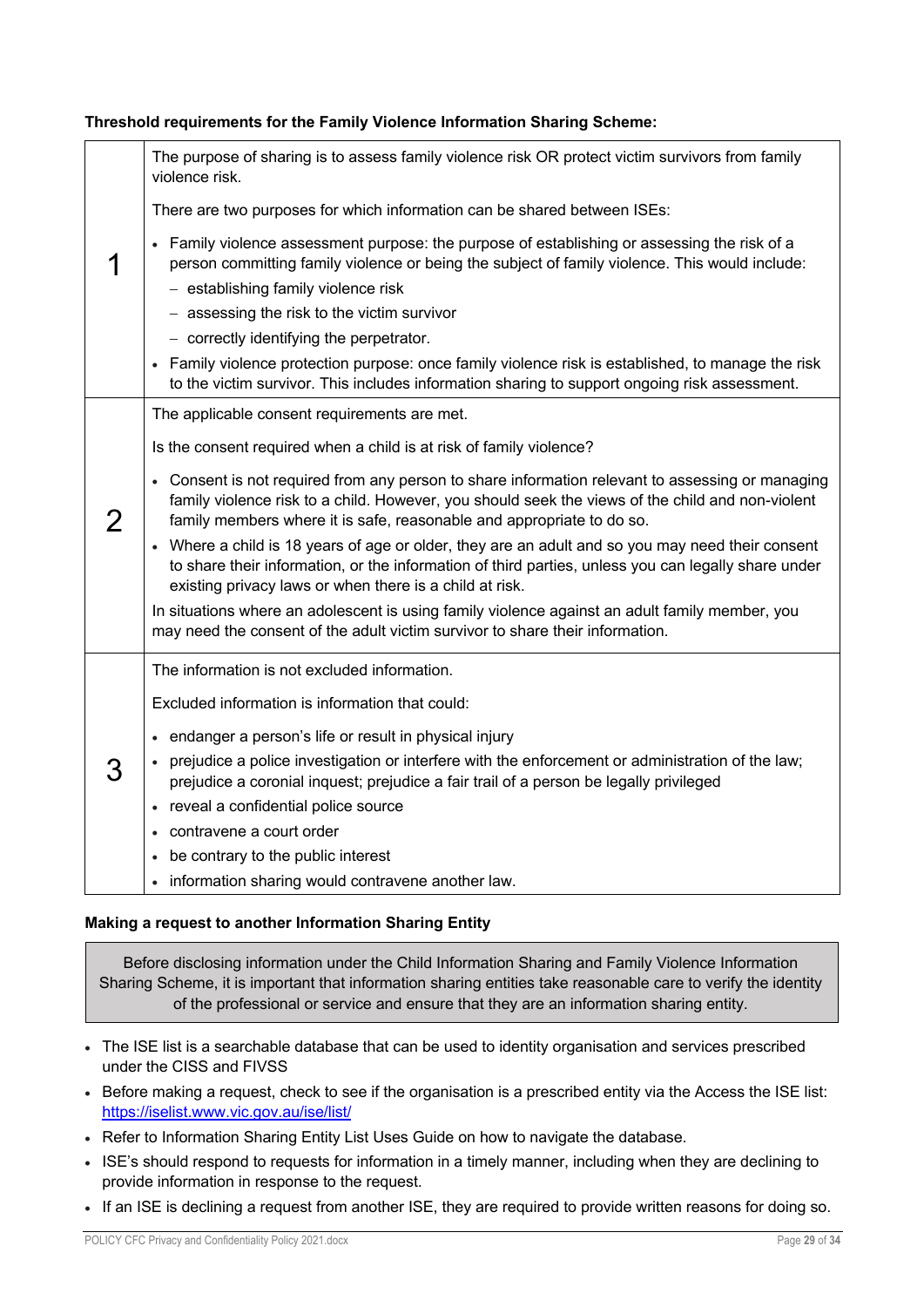| Threshold requirements for the Family Violence Information Sharing Scheme: |  |  |  |  |
|----------------------------------------------------------------------------|--|--|--|--|
|                                                                            |  |  |  |  |

| The purpose of sharing is to assess family violence risk OR protect victim survivors from family<br>violence risk.                                                                                                                                                            |
|-------------------------------------------------------------------------------------------------------------------------------------------------------------------------------------------------------------------------------------------------------------------------------|
| There are two purposes for which information can be shared between ISEs:                                                                                                                                                                                                      |
| • Family violence assessment purpose: the purpose of establishing or assessing the risk of a<br>person committing family violence or being the subject of family violence. This would include:<br>- establishing family violence risk                                         |
| - assessing the risk to the victim survivor                                                                                                                                                                                                                                   |
|                                                                                                                                                                                                                                                                               |
| - correctly identifying the perpetrator.                                                                                                                                                                                                                                      |
| Family violence protection purpose: once family violence risk is established, to manage the risk<br>to the victim survivor. This includes information sharing to support ongoing risk assessment.                                                                             |
| The applicable consent requirements are met.                                                                                                                                                                                                                                  |
| Is the consent required when a child is at risk of family violence?                                                                                                                                                                                                           |
| • Consent is not required from any person to share information relevant to assessing or managing<br>family violence risk to a child. However, you should seek the views of the child and non-violent<br>family members where it is safe, reasonable and appropriate to do so. |
| • Where a child is 18 years of age or older, they are an adult and so you may need their consent<br>to share their information, or the information of third parties, unless you can legally share under<br>existing privacy laws or when there is a child at risk.            |
| In situations where an adolescent is using family violence against an adult family member, you<br>may need the consent of the adult victim survivor to share their information.                                                                                               |
| The information is not excluded information.                                                                                                                                                                                                                                  |
| Excluded information is information that could:                                                                                                                                                                                                                               |
| • endanger a person's life or result in physical injury                                                                                                                                                                                                                       |
| • prejudice a police investigation or interfere with the enforcement or administration of the law;<br>prejudice a coronial inquest; prejudice a fair trail of a person be legally privileged                                                                                  |
| • reveal a confidential police source                                                                                                                                                                                                                                         |
| contravene a court order                                                                                                                                                                                                                                                      |
| be contrary to the public interest                                                                                                                                                                                                                                            |
| information sharing would contravene another law.                                                                                                                                                                                                                             |

# **Making a request to another Information Sharing Entity**

Before disclosing information under the Child Information Sharing and Family Violence Information Sharing Scheme, it is important that information sharing entities take reasonable care to verify the identity of the professional or service and ensure that they are an information sharing entity.

- The ISE list is a searchable database that can be used to identity organisation and services prescribed under the CISS and FIVSS
- Before making a request, check to see if the organisation is a prescribed entity via the Access the ISE list: https://iselist.www.vic.gov.au/ise/list/
- Refer to Information Sharing Entity List Uses Guide on how to navigate the database.
- ISE's should respond to requests for information in a timely manner, including when they are declining to provide information in response to the request.
- If an ISE is declining a request from another ISE, they are required to provide written reasons for doing so.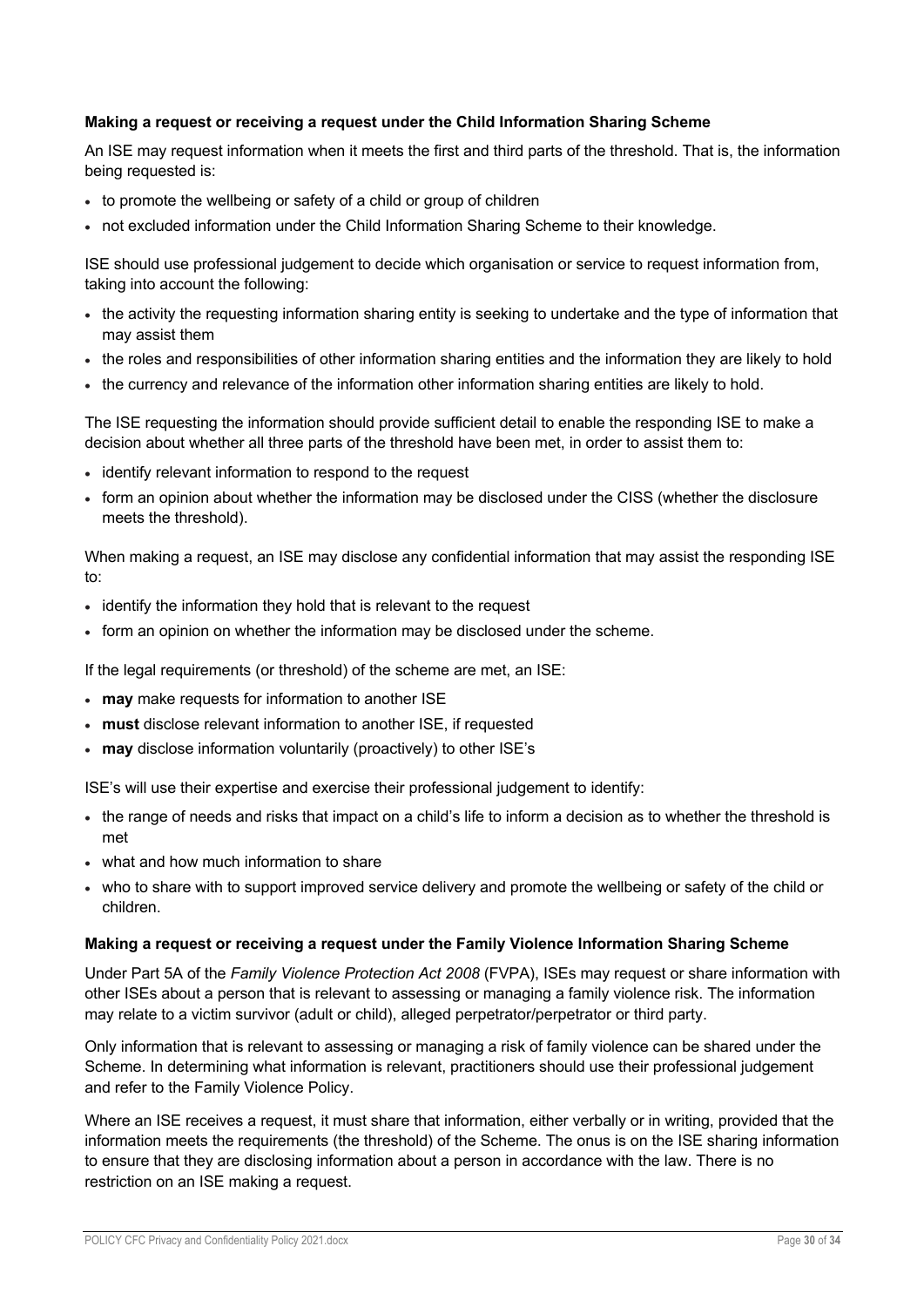### **Making a request or receiving a request under the Child Information Sharing Scheme**

An ISE may request information when it meets the first and third parts of the threshold. That is, the information being requested is:

- to promote the wellbeing or safety of a child or group of children
- not excluded information under the Child Information Sharing Scheme to their knowledge.

ISE should use professional judgement to decide which organisation or service to request information from, taking into account the following:

- the activity the requesting information sharing entity is seeking to undertake and the type of information that may assist them
- the roles and responsibilities of other information sharing entities and the information they are likely to hold
- the currency and relevance of the information other information sharing entities are likely to hold.

The ISE requesting the information should provide sufficient detail to enable the responding ISE to make a decision about whether all three parts of the threshold have been met, in order to assist them to:

- identify relevant information to respond to the request
- form an opinion about whether the information may be disclosed under the CISS (whether the disclosure meets the threshold).

When making a request, an ISE may disclose any confidential information that may assist the responding ISE to:

- identify the information they hold that is relevant to the request
- form an opinion on whether the information may be disclosed under the scheme.

If the legal requirements (or threshold) of the scheme are met, an ISE:

- **may** make requests for information to another ISE
- **must** disclose relevant information to another ISE, if requested
- **may** disclose information voluntarily (proactively) to other ISE's

ISE's will use their expertise and exercise their professional judgement to identify:

- the range of needs and risks that impact on a child's life to inform a decision as to whether the threshold is met
- what and how much information to share
- who to share with to support improved service delivery and promote the wellbeing or safety of the child or children.

### **Making a request or receiving a request under the Family Violence Information Sharing Scheme**

Under Part 5A of the *Family Violence Protection Act 2008* (FVPA), ISEs may request or share information with other ISEs about a person that is relevant to assessing or managing a family violence risk. The information may relate to a victim survivor (adult or child), alleged perpetrator/perpetrator or third party.

Only information that is relevant to assessing or managing a risk of family violence can be shared under the Scheme. In determining what information is relevant, practitioners should use their professional judgement and refer to the Family Violence Policy.

Where an ISE receives a request, it must share that information, either verbally or in writing, provided that the information meets the requirements (the threshold) of the Scheme. The onus is on the ISE sharing information to ensure that they are disclosing information about a person in accordance with the law. There is no restriction on an ISE making a request.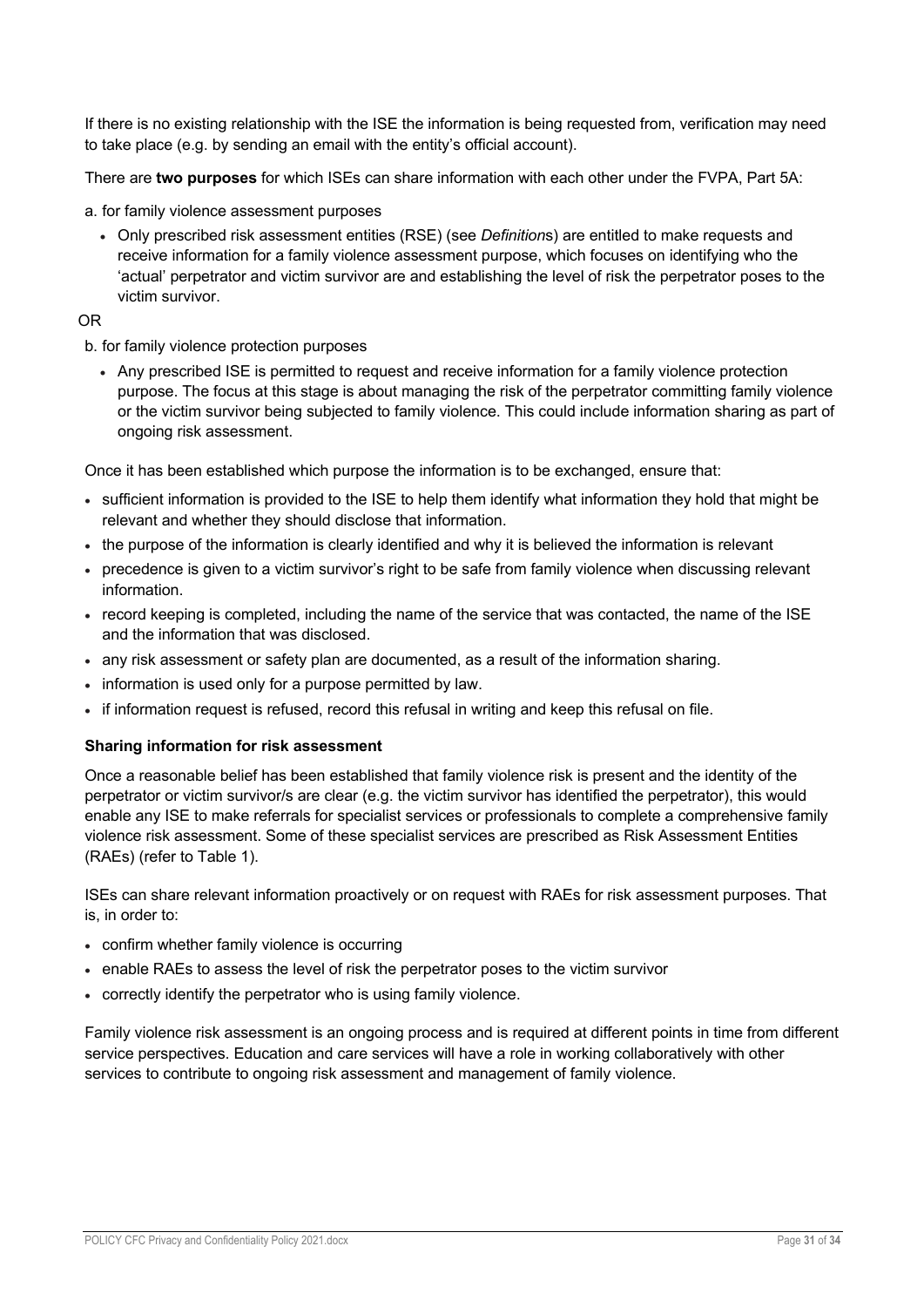If there is no existing relationship with the ISE the information is being requested from, verification may need to take place (e.g. by sending an email with the entity's official account).

There are **two purposes** for which ISEs can share information with each other under the FVPA, Part 5A:

a. for family violence assessment purposes

• Only prescribed risk assessment entities (RSE) (see *Definition*s) are entitled to make requests and receive information for a family violence assessment purpose, which focuses on identifying who the 'actual' perpetrator and victim survivor are and establishing the level of risk the perpetrator poses to the victim survivor.

## OR

b. for family violence protection purposes

• Any prescribed ISE is permitted to request and receive information for a family violence protection purpose. The focus at this stage is about managing the risk of the perpetrator committing family violence or the victim survivor being subjected to family violence. This could include information sharing as part of ongoing risk assessment.

Once it has been established which purpose the information is to be exchanged, ensure that:

- sufficient information is provided to the ISE to help them identify what information they hold that might be relevant and whether they should disclose that information.
- the purpose of the information is clearly identified and why it is believed the information is relevant
- precedence is given to a victim survivor's right to be safe from family violence when discussing relevant information.
- record keeping is completed, including the name of the service that was contacted, the name of the ISE and the information that was disclosed.
- any risk assessment or safety plan are documented, as a result of the information sharing.
- information is used only for a purpose permitted by law.
- if information request is refused, record this refusal in writing and keep this refusal on file.

### **Sharing information for risk assessment**

Once a reasonable belief has been established that family violence risk is present and the identity of the perpetrator or victim survivor/s are clear (e.g. the victim survivor has identified the perpetrator), this would enable any ISE to make referrals for specialist services or professionals to complete a comprehensive family violence risk assessment. Some of these specialist services are prescribed as Risk Assessment Entities (RAEs) (refer to Table 1).

ISEs can share relevant information proactively or on request with RAEs for risk assessment purposes. That is, in order to:

- confirm whether family violence is occurring
- enable RAEs to assess the level of risk the perpetrator poses to the victim survivor
- correctly identify the perpetrator who is using family violence.

Family violence risk assessment is an ongoing process and is required at different points in time from different service perspectives. Education and care services will have a role in working collaboratively with other services to contribute to ongoing risk assessment and management of family violence.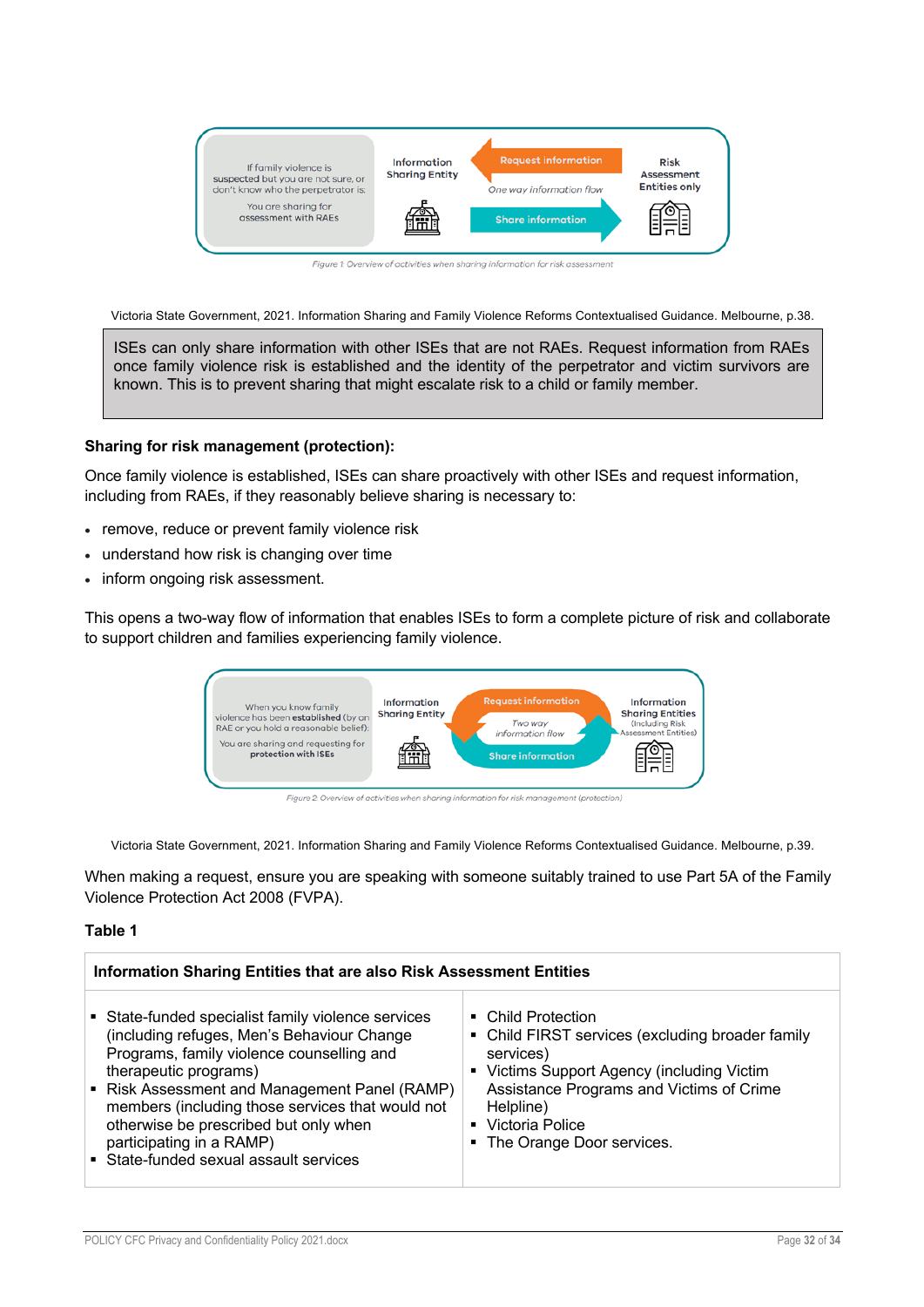

Figure 1: Overview of activities when sharing information for risk assessment

Victoria State Government, 2021. Information Sharing and Family Violence Reforms Contextualised Guidance. Melbourne, p.38.

ISEs can only share information with other ISEs that are not RAEs. Request information from RAEs once family violence risk is established and the identity of the perpetrator and victim survivors are known. This is to prevent sharing that might escalate risk to a child or family member.

#### **Sharing for risk management (protection):**

Once family violence is established, ISEs can share proactively with other ISEs and request information, including from RAEs, if they reasonably believe sharing is necessary to:

- remove, reduce or prevent family violence risk
- understand how risk is changing over time
- inform ongoing risk assessment.

This opens a two-way flow of information that enables ISEs to form a complete picture of risk and collaborate to support children and families experiencing family violence.



Figure 2: Overview of activities when sharing information for risk management (protection)

Victoria State Government, 2021. Information Sharing and Family Violence Reforms Contextualised Guidance. Melbourne, p.39.

When making a request, ensure you are speaking with someone suitably trained to use Part 5A of the Family Violence Protection Act 2008 (FVPA).

#### **Table 1**

| Information Sharing Entities that are also Risk Assessment Entities                                                                                                                                                                                                                                                                                                                        |                                                                                                                                                                                                                                                |  |  |  |
|--------------------------------------------------------------------------------------------------------------------------------------------------------------------------------------------------------------------------------------------------------------------------------------------------------------------------------------------------------------------------------------------|------------------------------------------------------------------------------------------------------------------------------------------------------------------------------------------------------------------------------------------------|--|--|--|
| • State-funded specialist family violence services<br>(including refuges, Men's Behaviour Change<br>Programs, family violence counselling and<br>therapeutic programs)<br>• Risk Assessment and Management Panel (RAMP)<br>members (including those services that would not<br>otherwise be prescribed but only when<br>participating in a RAMP)<br>• State-funded sexual assault services | • Child Protection<br>• Child FIRST services (excluding broader family<br>services)<br>• Victims Support Agency (including Victim<br>Assistance Programs and Victims of Crime<br>Helpline)<br>• Victoria Police<br>• The Orange Door services. |  |  |  |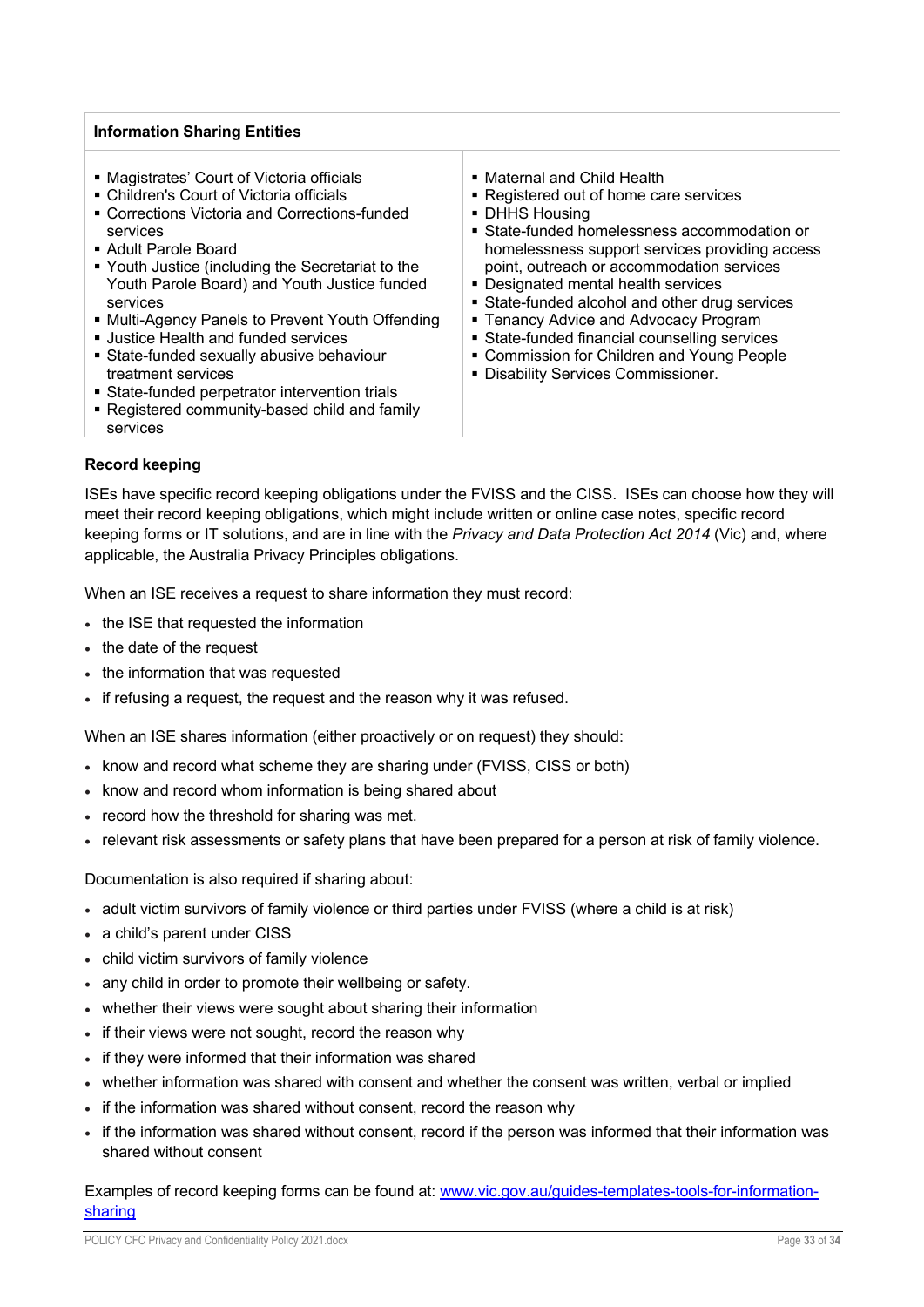## **Information Sharing Entities**

■ Magistrates' Court of Victoria officials § Children's Court of Victoria officials ■ Corrections Victoria and Corrections-funded services § Adult Parole Board § Youth Justice (including the Secretariat to the Youth Parole Board) and Youth Justice funded services ■ Multi-Agency Panels to Prevent Youth Offending ■ Justice Health and funded services § State-funded sexually abusive behaviour treatment services ■ State-funded perpetrator intervention trials ■ Registered community-based child and family services ■ Maternal and Child Health ■ Registered out of home care services § DHHS Housing § State-funded homelessness accommodation or homelessness support services providing access point, outreach or accommodation services § Designated mental health services ■ State-funded alcohol and other drug services **• Tenancy Advice and Advocacy Program** ■ State-funded financial counselling services ■ Commission for Children and Young People § Disability Services Commissioner.

#### **Record keeping**

ISEs have specific record keeping obligations under the FVISS and the CISS. ISEs can choose how they will meet their record keeping obligations, which might include written or online case notes, specific record keeping forms or IT solutions, and are in line with the *Privacy and Data Protection Act 2014* (Vic) and, where applicable, the Australia Privacy Principles obligations.

When an ISE receives a request to share information they must record:

- the ISE that requested the information
- the date of the request
- the information that was requested
- if refusing a request, the request and the reason why it was refused.

When an ISE shares information (either proactively or on request) they should:

- know and record what scheme they are sharing under (FVISS, CISS or both)
- know and record whom information is being shared about
- record how the threshold for sharing was met.
- relevant risk assessments or safety plans that have been prepared for a person at risk of family violence.

Documentation is also required if sharing about:

- adult victim survivors of family violence or third parties under FVISS (where a child is at risk)
- a child's parent under CISS
- child victim survivors of family violence
- any child in order to promote their wellbeing or safety.
- whether their views were sought about sharing their information
- if their views were not sought, record the reason why
- if they were informed that their information was shared
- whether information was shared with consent and whether the consent was written, verbal or implied
- if the information was shared without consent, record the reason why
- if the information was shared without consent, record if the person was informed that their information was shared without consent

Examples of record keeping forms can be found at: www.vic.gov.au/guides-templates-tools-for-informationsharing